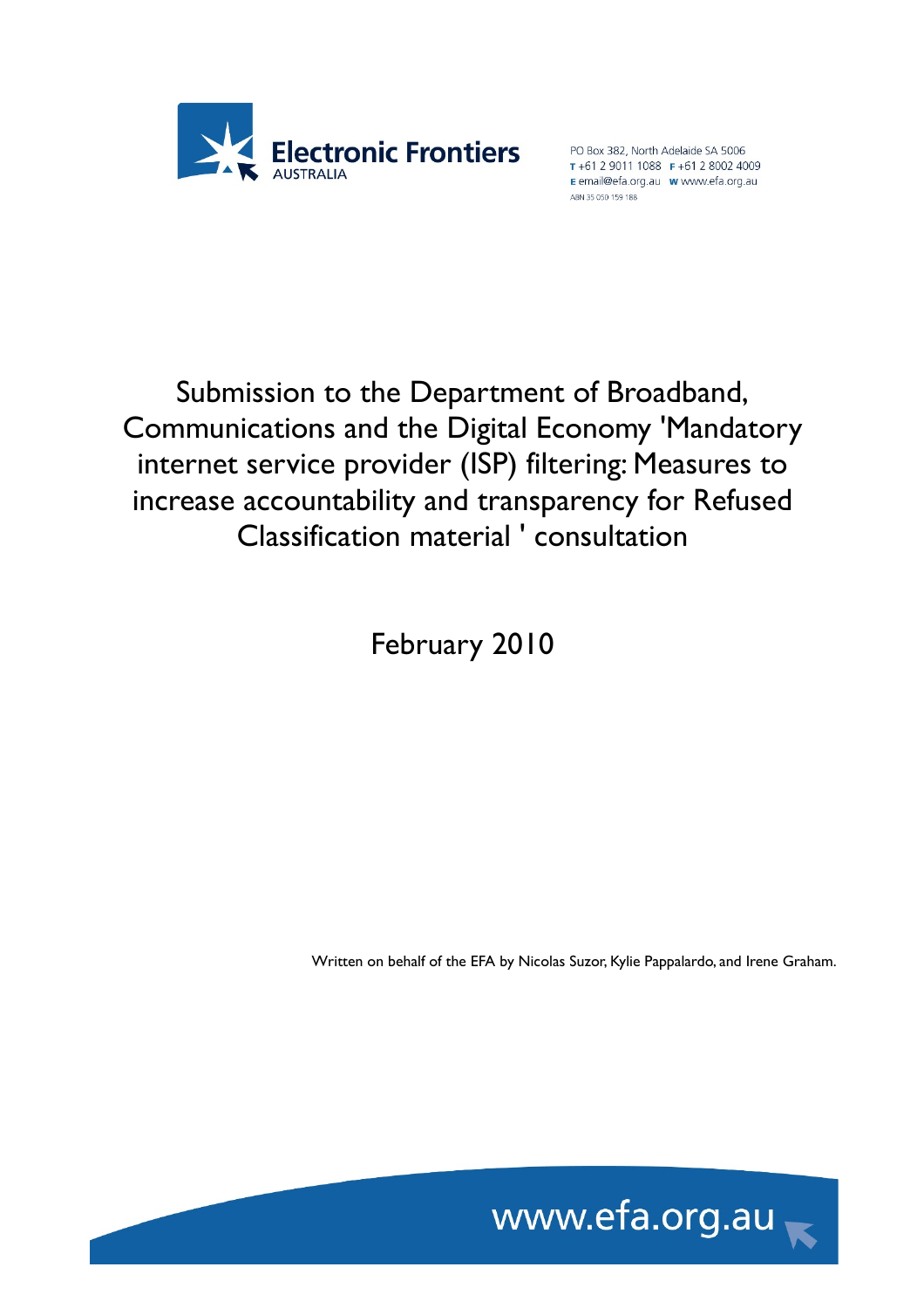

T+61 2 9011 1088 F+61 2 8002 4009 E email@efa.org.au www.efa.org.au ABN 35 050 159 188

Submission to the Department of Broadband, Communications and the Digital Economy 'Mandatory internet service provider (ISP) filtering: Measures to increase accountability and transparency for Refused Classification material ' consultation

February 2010

Written on behalf of the EFA by Nicolas Suzor, Kylie Pappalardo, and Irene Graham.

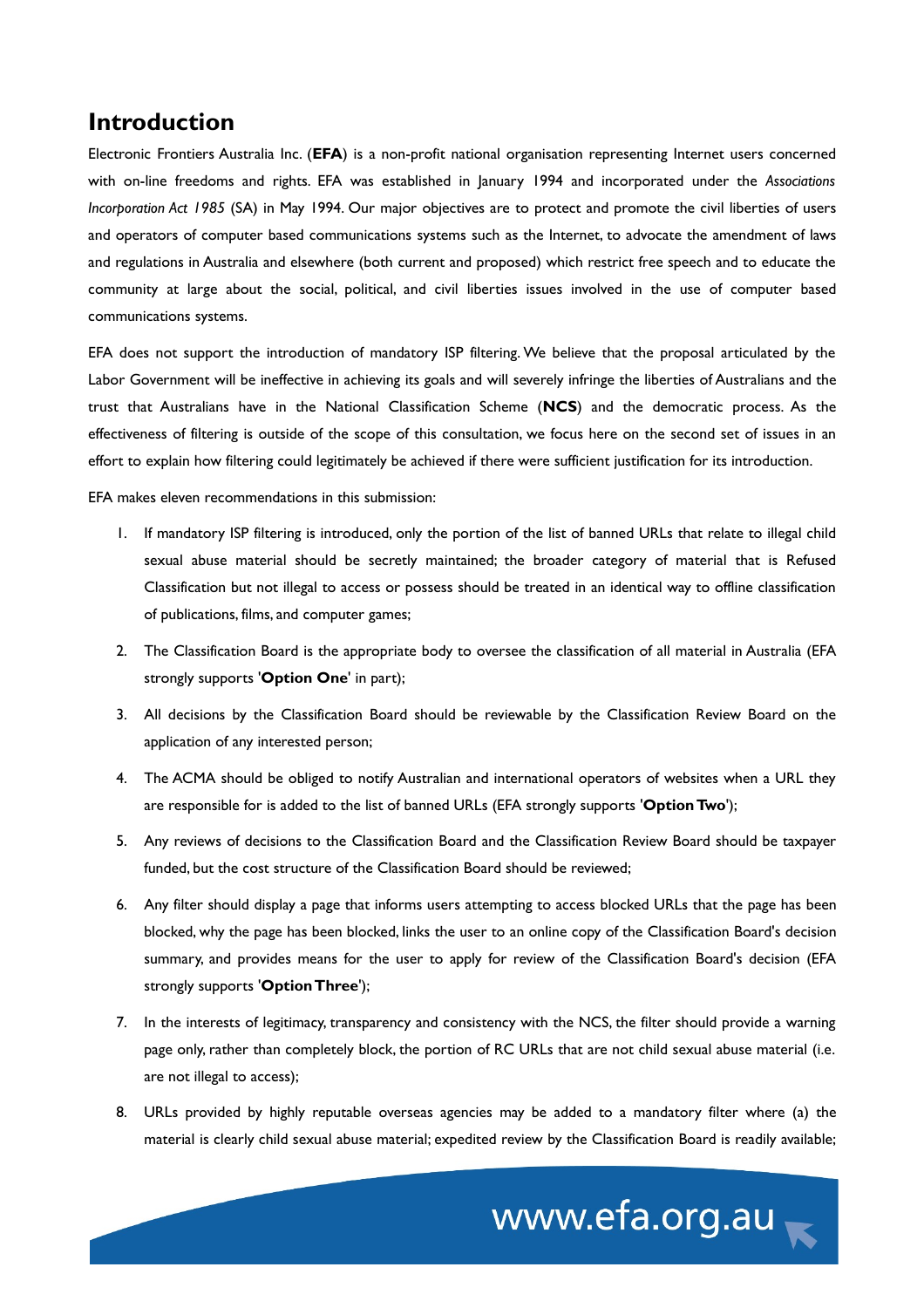#### **Introduction**

Electronic Frontiers Australia Inc. (**EFA**) is a non-profit national organisation representing Internet users concerned with on-line freedoms and rights. EFA was established in January 1994 and incorporated under the *Associations Incorporation Act 1985* (SA) in May 1994. Our major objectives are to protect and promote the civil liberties of users and operators of computer based communications systems such as the Internet, to advocate the amendment of laws and regulations in Australia and elsewhere (both current and proposed) which restrict free speech and to educate the community at large about the social, political, and civil liberties issues involved in the use of computer based communications systems.

EFA does not support the introduction of mandatory ISP filtering. We believe that the proposal articulated by the Labor Government will be ineffective in achieving its goals and will severely infringe the liberties of Australians and the trust that Australians have in the National Classification Scheme (**NCS**) and the democratic process. As the effectiveness of filtering is outside of the scope of this consultation, we focus here on the second set of issues in an effort to explain how filtering could legitimately be achieved if there were sufficient justification for its introduction.

EFA makes eleven recommendations in this submission:

- 1. If mandatory ISP filtering is introduced, only the portion of the list of banned URLs that relate to illegal child sexual abuse material should be secretly maintained; the broader category of material that is Refused Classification but not illegal to access or possess should be treated in an identical way to offline classification of publications, films, and computer games;
- 2. The Classification Board is the appropriate body to oversee the classification of all material in Australia (EFA strongly supports '**Option One**' in part);
- 3. All decisions by the Classification Board should be reviewable by the Classification Review Board on the application of any interested person;
- 4. The ACMA should be obliged to notify Australian and international operators of websites when a URL they are responsible for is added to the list of banned URLs (EFA strongly supports '**Option Two**');
- 5. Any reviews of decisions to the Classification Board and the Classification Review Board should be taxpayer funded, but the cost structure of the Classification Board should be reviewed;
- 6. Any filter should display a page that informs users attempting to access blocked URLs that the page has been blocked, why the page has been blocked, links the user to an online copy of the Classification Board's decision summary, and provides means for the user to apply for review of the Classification Board's decision (EFA strongly supports '**Option Three**');
- 7. In the interests of legitimacy, transparency and consistency with the NCS, the filter should provide a warning page only, rather than completely block, the portion of RC URLs that are not child sexual abuse material (i.e. are not illegal to access);
- 8. URLs provided by highly reputable overseas agencies may be added to a mandatory filter where (a) the material is clearly child sexual abuse material; expedited review by the Classification Board is readily available;

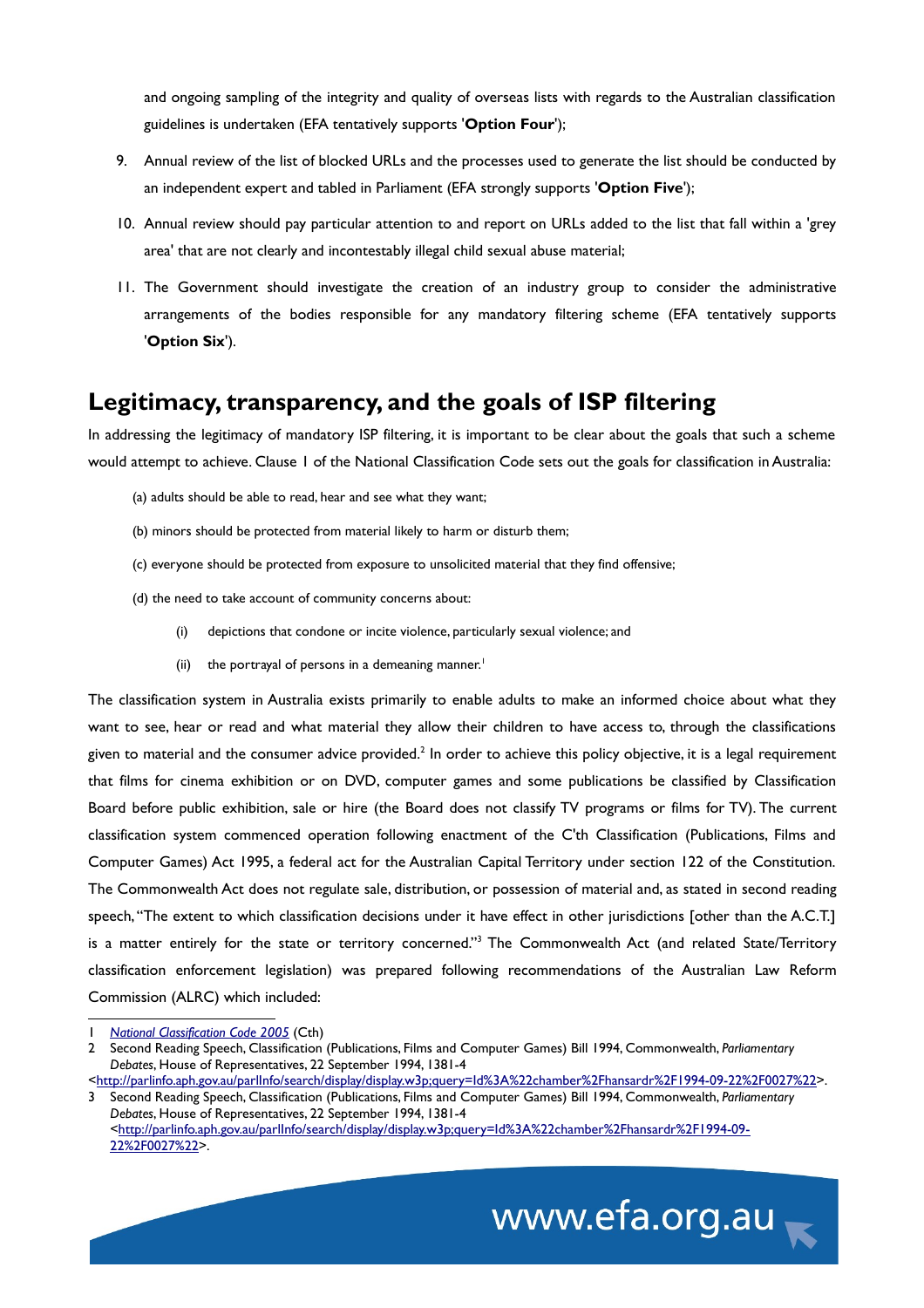and ongoing sampling of the integrity and quality of overseas lists with regards to the Australian classification guidelines is undertaken (EFA tentatively supports '**Option Four**');

- 9. Annual review of the list of blocked URLs and the processes used to generate the list should be conducted by an independent expert and tabled in Parliament (EFA strongly supports '**Option Five**');
- 10. Annual review should pay particular attention to and report on URLs added to the list that fall within a 'grey area' that are not clearly and incontestably illegal child sexual abuse material;
- 11. The Government should investigate the creation of an industry group to consider the administrative arrangements of the bodies responsible for any mandatory filtering scheme (EFA tentatively supports '**Option Six**').

## **Legitimacy, transparency, and the goals of ISP filtering**

In addressing the legitimacy of mandatory ISP filtering, it is important to be clear about the goals that such a scheme would attempt to achieve. Clause 1 of the National Classification Code sets out the goals for classification in Australia:

- (a) adults should be able to read, hear and see what they want;
- (b) minors should be protected from material likely to harm or disturb them;
- (c) everyone should be protected from exposure to unsolicited material that they find offensive;
- (d) the need to take account of community concerns about:
	- (i) depictions that condone or incite violence, particularly sexual violence; and
	- (ii) the portrayal of persons in a demeaning manner.<sup>[1](#page-2-0)</sup>

The classification system in Australia exists primarily to enable adults to make an informed choice about what they want to see, hear or read and what material they allow their children to have access to, through the classifications given to material and the consumer advice provided.<sup>[2](#page-2-1)</sup> In order to achieve this policy objective, it is a legal requirement that films for cinema exhibition or on DVD, computer games and some publications be classified by Classification Board before public exhibition, sale or hire (the Board does not classify TV programs or films for TV). The current classification system commenced operation following enactment of the C'th Classification (Publications, Films and Computer Games) Act 1995, a federal act for the Australian Capital Territory under section 122 of the Constitution. The Commonwealth Act does not regulate sale, distribution, or possession of material and, as stated in second reading speech, "The extent to which classification decisions under it have effect in other jurisdictions [other than the A.C.T.] is a matter entirely for the state or territory concerned."<sup>[3](#page-2-2)</sup> The Commonwealth Act (and related State/Territory classification enforcement legislation) was prepared following recommendations of the Australian Law Reform Commission (ALRC) which included:

<span id="page-2-2"></span><sup>3</sup> Second Reading Speech, Classification (Publications, Films and Computer Games) Bill 1994, Commonwealth, *Parliamentary Debates*, House of Representatives, 22 September 1994, 1381-4 [<http://parlinfo.aph.gov.au/parlInfo/search/display/display.w3p;query=Id%3A%22chamber%2Fhansardr%2F1994-09-](http://parlinfo.aph.gov.au/parlInfo/search/display/display.w3p;query=Id%3A%22chamber%2Fhansardr%2F1994-09-22%2F0027%22) [22%2F0027%22>](http://parlinfo.aph.gov.au/parlInfo/search/display/display.w3p;query=Id%3A%22chamber%2Fhansardr%2F1994-09-22%2F0027%22).



<span id="page-2-0"></span><sup>1</sup> *[National Classification Code 2005](http://www.comlaw.gov.au/ComLaw/Legislation/LegislativeInstrument1.nsf/0/7CACAF6B58C63E44CA25700D0022F7ED?OpenDocument)* (Cth)

<span id="page-2-1"></span><sup>2</sup> Second Reading Speech, Classification (Publications, Films and Computer Games) Bill 1994, Commonwealth, *Parliamentary Debates*, House of Representatives, 22 September 1994, 1381-4

[<sup>&</sup>lt;http://parlinfo.aph.gov.au/parlInfo/search/display/display.w3p;query=Id%3A%22chamber%2Fhansardr%2F1994-09-22%2F0027%22>](http://parlinfo.aph.gov.au/parlInfo/search/display/display.w3p;query=Id%3A%22chamber%2Fhansardr%2F1994-09-22%2F0027%22).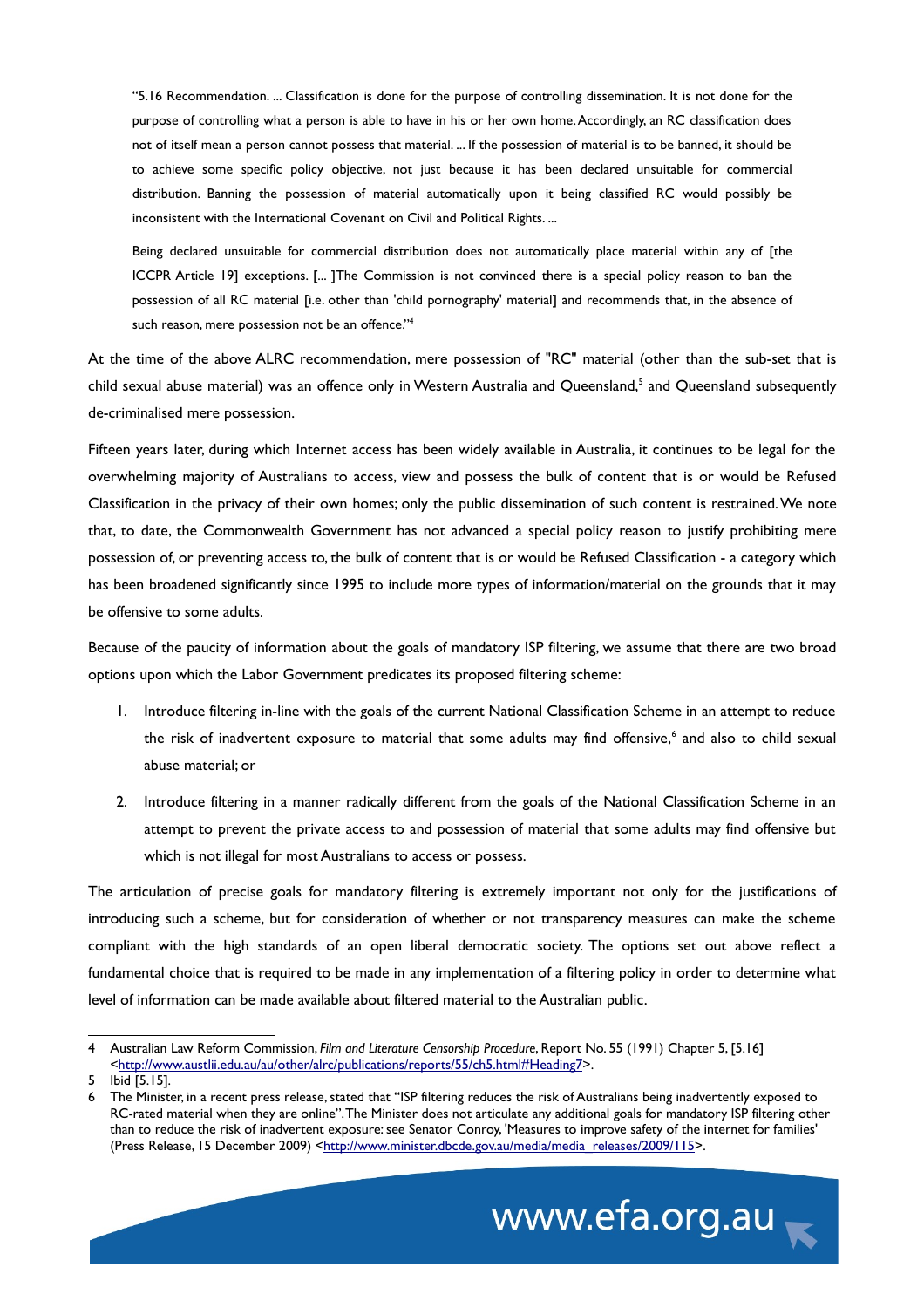"5.16 Recommendation. ... Classification is done for the purpose of controlling dissemination. It is not done for the purpose of controlling what a person is able to have in his or her own home. Accordingly, an RC classification does not of itself mean a person cannot possess that material. ... If the possession of material is to be banned, it should be to achieve some specific policy objective, not just because it has been declared unsuitable for commercial distribution. Banning the possession of material automatically upon it being classified RC would possibly be inconsistent with the International Covenant on Civil and Political Rights. ...

Being declared unsuitable for commercial distribution does not automatically place material within any of [the ICCPR Article 19] exceptions. [... ]The Commission is not convinced there is a special policy reason to ban the possession of all RC material [i.e. other than 'child pornography' material] and recommends that, in the absence of such reason, mere possession not be an offence."[4](#page-3-0)

At the time of the above ALRC recommendation, mere possession of "RC" material (other than the sub-set that is child sexual abuse material) was an offence only in Western Australia and Queensland,<sup>[5](#page-3-1)</sup> and Queensland subsequently de-criminalised mere possession.

Fifteen years later, during which Internet access has been widely available in Australia, it continues to be legal for the overwhelming majority of Australians to access, view and possess the bulk of content that is or would be Refused Classification in the privacy of their own homes; only the public dissemination of such content is restrained. We note that, to date, the Commonwealth Government has not advanced a special policy reason to justify prohibiting mere possession of, or preventing access to, the bulk of content that is or would be Refused Classification - a category which has been broadened significantly since 1995 to include more types of information/material on the grounds that it may be offensive to some adults.

Because of the paucity of information about the goals of mandatory ISP filtering, we assume that there are two broad options upon which the Labor Government predicates its proposed filtering scheme:

- 1. Introduce filtering in-line with the goals of the current National Classification Scheme in an attempt to reduce the risk of inadvertent exposure to material that some adults may find offensive,<sup>[6](#page-3-2)</sup> and also to child sexual abuse material; or
- 2. Introduce filtering in a manner radically different from the goals of the National Classification Scheme in an attempt to prevent the private access to and possession of material that some adults may find offensive but which is not illegal for most Australians to access or possess.

The articulation of precise goals for mandatory filtering is extremely important not only for the justifications of introducing such a scheme, but for consideration of whether or not transparency measures can make the scheme compliant with the high standards of an open liberal democratic society. The options set out above reflect a fundamental choice that is required to be made in any implementation of a filtering policy in order to determine what level of information can be made available about filtered material to the Australian public.

<span id="page-3-2"></span><sup>6</sup> The Minister, in a recent press release, stated that "ISP filtering reduces the risk of Australians being inadvertently exposed to RC-rated material when they are online". The Minister does not articulate any additional goals for mandatory ISP filtering other than to reduce the risk of inadvertent exposure: see Senator Conroy, 'Measures to improve safety of the internet for families' (Press Release, 15 December 2009) [<http://www.minister.dbcde.gov.au/media/media\\_releases/2009/115>](http://www.minister.dbcde.gov.au/media/media_releases/2009/115).



<span id="page-3-0"></span><sup>4</sup> Australian Law Reform Commission, *Film and Literature Censorship Procedure*, Report No. 55 (1991) Chapter 5, [5.16] [<http://www.austlii.edu.au/au/other/alrc/publications/reports/55/ch5.html#Heading7>](http://www.austlii.edu.au/au/other/alrc/publications/reports/55/ch5.html#Heading7).

<span id="page-3-1"></span><sup>5</sup> Ibid [5.15].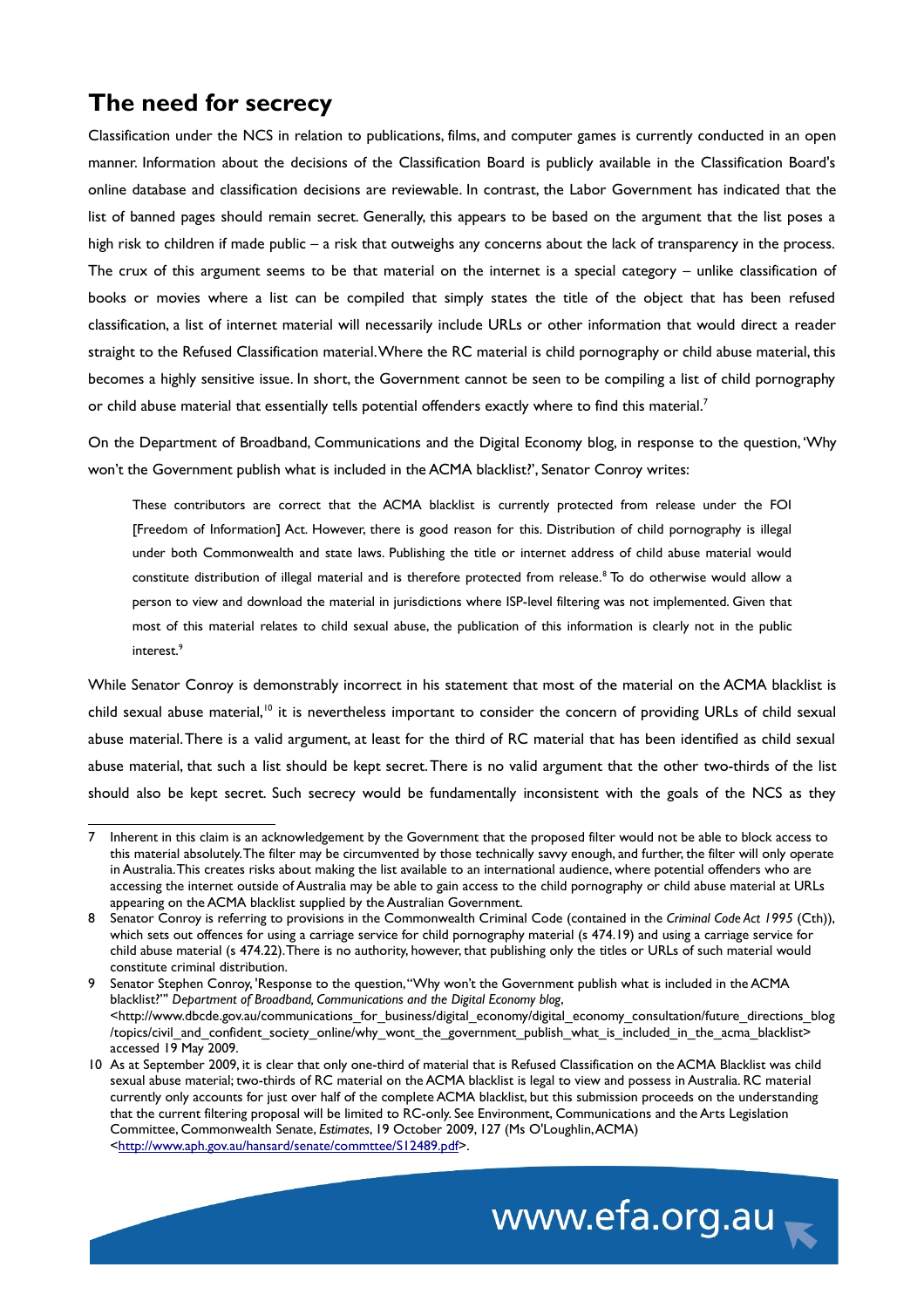# **The need for secrecy**

Classification under the NCS in relation to publications, films, and computer games is currently conducted in an open manner. Information about the decisions of the Classification Board is publicly available in the Classification Board's online database and classification decisions are reviewable. In contrast, the Labor Government has indicated that the list of banned pages should remain secret. Generally, this appears to be based on the argument that the list poses a high risk to children if made public – a risk that outweighs any concerns about the lack of transparency in the process. The crux of this argument seems to be that material on the internet is a special category – unlike classification of books or movies where a list can be compiled that simply states the title of the object that has been refused classification, a list of internet material will necessarily include URLs or other information that would direct a reader straight to the Refused Classification material. Where the RC material is child pornography or child abuse material, this becomes a highly sensitive issue. In short, the Government cannot be seen to be compiling a list of child pornography or child abuse material that essentially tells potential offenders exactly where to find this material.<sup>[7](#page-4-0)</sup>

On the Department of Broadband, Communications and the Digital Economy blog, in response to the question, 'Why won't the Government publish what is included in the ACMA blacklist?', Senator Conroy writes:

These contributors are correct that the ACMA blacklist is currently protected from release under the FOI [Freedom of Information] Act. However, there is good reason for this. Distribution of child pornography is illegal under both Commonwealth and state laws. Publishing the title or internet address of child abuse material would constitute distribution of illegal material and is therefore protected from release.<sup>[8](#page-4-1)</sup> To do otherwise would allow a person to view and download the material in jurisdictions where ISP-level filtering was not implemented. Given that most of this material relates to child sexual abuse, the publication of this information is clearly not in the public interest.<sup>[9](#page-4-2)</sup>

While Senator Conroy is demonstrably incorrect in his statement that most of the material on the ACMA blacklist is child sexual abuse material,<sup>[10](#page-4-3)</sup> it is nevertheless important to consider the concern of providing URLs of child sexual abuse material. There is a valid argument, at least for the third of RC material that has been identified as child sexual abuse material, that such a list should be kept secret. There is no valid argument that the other two-thirds of the list should also be kept secret. Such secrecy would be fundamentally inconsistent with the goals of the NCS as they

<span id="page-4-3"></span><sup>10</sup> As at September 2009, it is clear that only one-third of material that is Refused Classification on the ACMA Blacklist was child sexual abuse material; two-thirds of RC material on the ACMA blacklist is legal to view and possess in Australia. RC material currently only accounts for just over half of the complete ACMA blacklist, but this submission proceeds on the understanding that the current filtering proposal will be limited to RC-only. See Environment, Communications and the Arts Legislation Committee, Commonwealth Senate, *Estimates*, 19 October 2009, 127 (Ms O'Loughlin, ACMA) [<http://www.aph.gov.au/hansard/senate/commttee/S12489.pdf>](http://www.aph.gov.au/hansard/senate/commttee/S12489.pdf).



<span id="page-4-0"></span><sup>7</sup> Inherent in this claim is an acknowledgement by the Government that the proposed filter would not be able to block access to this material absolutely. The filter may be circumvented by those technically savvy enough, and further, the filter will only operate in Australia. This creates risks about making the list available to an international audience, where potential offenders who are accessing the internet outside of Australia may be able to gain access to the child pornography or child abuse material at URLs appearing on the ACMA blacklist supplied by the Australian Government.

<span id="page-4-1"></span><sup>8</sup> Senator Conroy is referring to provisions in the Commonwealth Criminal Code (contained in the *Criminal Code Act 1995* (Cth)), which sets out offences for using a carriage service for child pornography material (s 474.19) and using a carriage service for child abuse material (s 474.22). There is no authority, however, that publishing only the titles or URLs of such material would constitute criminal distribution.

<span id="page-4-2"></span><sup>9</sup> Senator Stephen Conroy, 'Response to the question, "Why won't the Government publish what is included in the ACMA blacklist?"' *Department of Broadband, Communications and the Digital Economy blog*, <http://www.dbcde.gov.au/communications\_for\_business/digital\_economy/digital\_economy\_consultation/future\_directions\_blog /topics/civil\_and\_confident\_society\_online/why\_wont\_the\_government\_publish\_what\_is\_included\_in\_the\_acma\_blacklist> accessed 19 May 2009.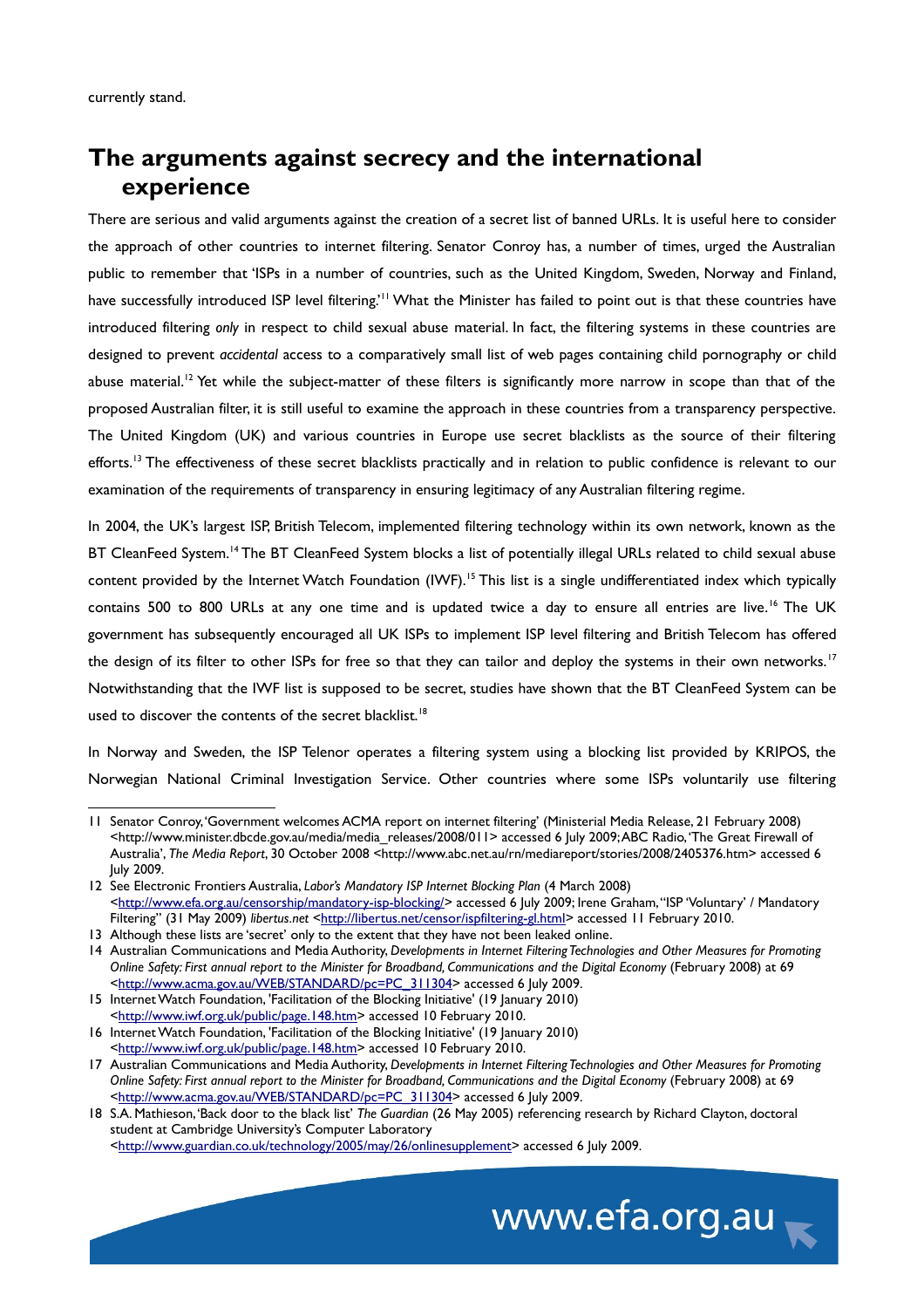## **The arguments against secrecy and the international experience**

There are serious and valid arguments against the creation of a secret list of banned URLs. It is useful here to consider the approach of other countries to internet filtering. Senator Conroy has, a number of times, urged the Australian public to remember that 'ISPs in a number of countries, such as the United Kingdom, Sweden, Norway and Finland, have successfully introduced ISP level filtering.<sup>'[11](#page-5-0)</sup> What the Minister has failed to point out is that these countries have introduced filtering *only* in respect to child sexual abuse material. In fact, the filtering systems in these countries are designed to prevent *accidental* access to a comparatively small list of web pages containing child pornography or child abuse material.<sup>[12](#page-5-1)</sup> Yet while the subject-matter of these filters is significantly more narrow in scope than that of the proposed Australian filter, it is still useful to examine the approach in these countries from a transparency perspective. The United Kingdom (UK) and various countries in Europe use secret blacklists as the source of their filtering efforts.<sup>[13](#page-5-2)</sup> The effectiveness of these secret blacklists practically and in relation to public confidence is relevant to our examination of the requirements of transparency in ensuring legitimacy of any Australian filtering regime.

In 2004, the UK's largest ISP, British Telecom, implemented filtering technology within its own network, known as the BT CleanFeed System.<sup>[14](#page-5-3)</sup> The BT CleanFeed System blocks a list of potentially illegal URLs related to child sexual abuse content provided by the Internet Watch Foundation  $(1WF)$ .<sup>[15](#page-5-4)</sup> This list is a single undifferentiated index which typically contains 500 to 800 URLs at any one time and is updated twice a day to ensure all entries are live.<sup>[16](#page-5-5)</sup> The UK government has subsequently encouraged all UK ISPs to implement ISP level filtering and British Telecom has offered the design of its filter to other ISPs for free so that they can tailor and deploy the systems in their own networks.<sup>[17](#page-5-6)</sup> Notwithstanding that the IWF list is supposed to be secret, studies have shown that the BT CleanFeed System can be used to discover the contents of the secret blacklist.<sup>[18](#page-5-7)</sup>

In Norway and Sweden, the ISP Telenor operates a filtering system using a blocking list provided by KRIPOS, the Norwegian National Criminal Investigation Service. Other countries where some ISPs voluntarily use filtering

www.efa.org.au

<span id="page-5-0"></span><sup>11</sup> Senator Conroy, 'Government welcomes ACMA report on internet filtering' (Ministerial Media Release, 21 February 2008) <http://www.minister.dbcde.gov.au/media/media\_releases/2008/011> accessed 6 July 2009; ABC Radio, 'The Great Firewall of Australia', *The Media Report*, 30 October 2008 <http://www.abc.net.au/rn/mediareport/stories/2008/2405376.htm> accessed 6 July 2009.

<span id="page-5-1"></span><sup>12</sup> See Electronic Frontiers Australia, *Labor's Mandatory ISP Internet Blocking Plan* (4 March 2008) [<http://www.efa.org.au/censorship/mandatory-isp-blocking/>](http://www.efa.org.au/censorship/mandatory-isp-blocking/) accessed 6 July 2009; Irene Graham, "ISP 'Voluntary' / Mandatory Filtering" (31 May 2009) *libertus.net* [<http://libertus.net/censor/ispfiltering-gl.html>](http://libertus.net/censor/ispfiltering-gl.html) accessed 11 February 2010.

<span id="page-5-2"></span><sup>13</sup> Although these lists are 'secret' only to the extent that they have not been leaked online.

<span id="page-5-3"></span><sup>14</sup> Australian Communications and Media Authority, *Developments in Internet Filtering Technologies and Other Measures for Promoting Online Safety: First annual report to the Minister for Broadband, Communications and the Digital Economy* (February 2008) at 69 [<http://www.acma.gov.au/WEB/STANDARD/pc=PC\\_311304>](http://www.acma.gov.au/WEB/STANDARD/pc=PC_311304) accessed 6 July 2009.

<span id="page-5-4"></span><sup>15</sup> Internet Watch Foundation, 'Facilitation of the Blocking Initiative' (19 January 2010) [<http://www.iwf.org.uk/public/page.148.htm>](http://www.iwf.org.uk/public/page.148.htm) accessed 10 February 2010.

<span id="page-5-5"></span><sup>16</sup> Internet Watch Foundation, 'Facilitation of the Blocking Initiative' (19 January 2010)

[<sup>&</sup>lt;http://www.iwf.org.uk/public/page.148.htm>](http://www.iwf.org.uk/public/page.148.htm) accessed 10 February 2010.

<span id="page-5-6"></span><sup>17</sup> Australian Communications and Media Authority, *Developments in Internet Filtering Technologies and Other Measures for Promoting Online Safety: First annual report to the Minister for Broadband, Communications and the Digital Economy* (February 2008) at 69 [<http://www.acma.gov.au/WEB/STANDARD/pc=PC\\_311304>](http://www.acma.gov.au/WEB/STANDARD/pc=PC_311304) accessed 6 July 2009.

<span id="page-5-7"></span><sup>18</sup> S.A. Mathieson, 'Back door to the black list' *The Guardian* (26 May 2005) referencing research by Richard Clayton, doctoral student at Cambridge University's Computer Laboratory [<http://www.guardian.co.uk/technology/2005/may/26/onlinesupplement>](http://www.guardian.co.uk/technology/2005/may/26/onlinesupplement) accessed 6 July 2009.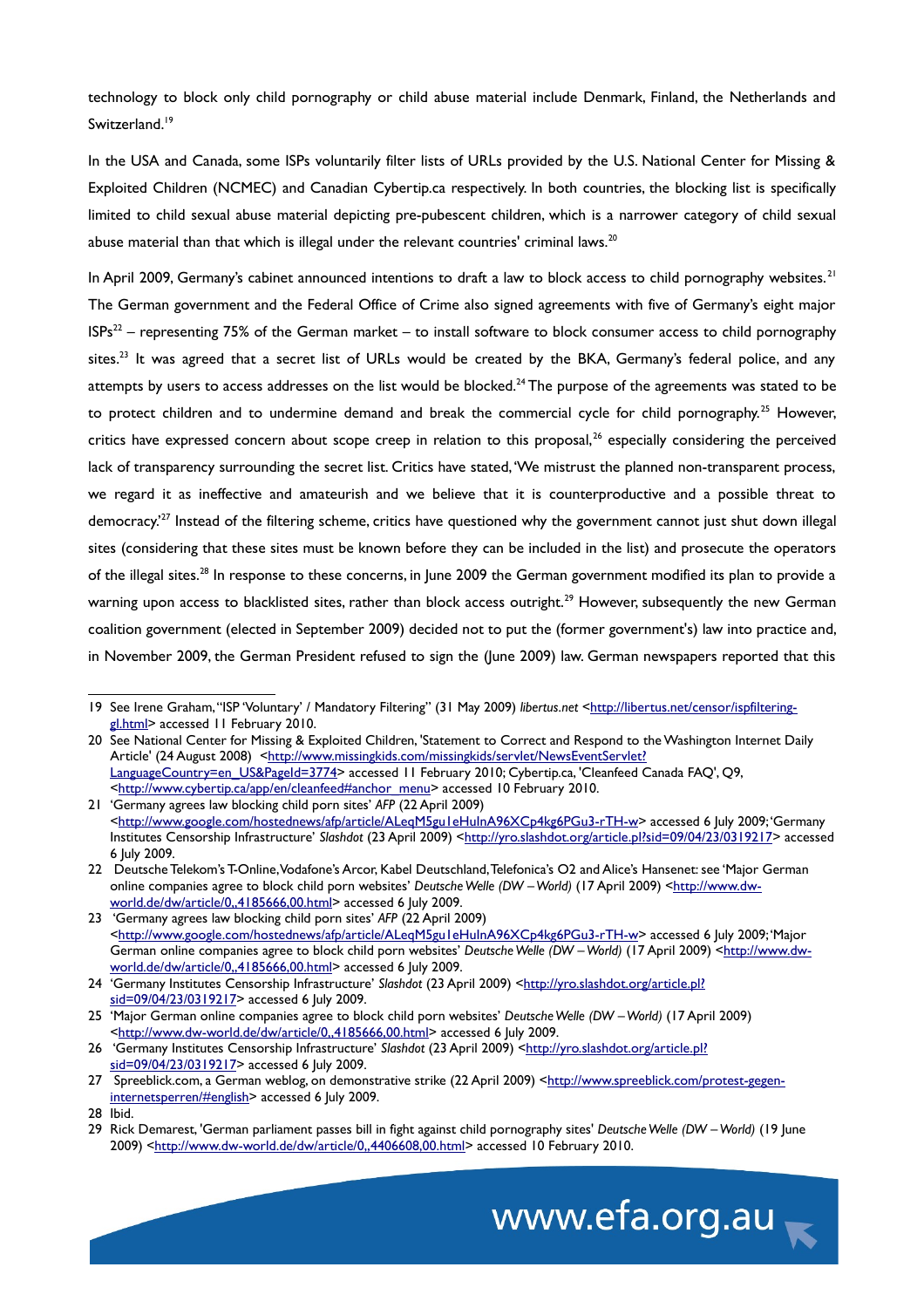technology to block only child pornography or child abuse material include Denmark, Finland, the Netherlands and Switzerland.<sup>[19](#page-6-0)</sup>

In the USA and Canada, some ISPs voluntarily filter lists of URLs provided by the U.S. National Center for Missing & Exploited Children (NCMEC) and Canadian Cybertip.ca respectively. In both countries, the blocking list is specifically limited to child sexual abuse material depicting pre-pubescent children, which is a narrower category of child sexual abuse material than that which is illegal under the relevant countries' criminal laws.<sup>[20](#page-6-1)</sup>

In April 2009, Germany's cabinet announced intentions to draft a law to block access to child pornography websites.<sup>[21](#page-6-2)</sup> The German government and the Federal Office of Crime also signed agreements with five of Germany's eight major  $ISPs<sup>22</sup>$  $ISPs<sup>22</sup>$  $ISPs<sup>22</sup>$  – representing 75% of the German market – to install software to block consumer access to child pornography sites.<sup>[23](#page-6-4)</sup> It was agreed that a secret list of URLs would be created by the BKA, Germany's federal police, and any attempts by users to access addresses on the list would be blocked.<sup>[24](#page-6-5)</sup> The purpose of the agreements was stated to be to protect children and to undermine demand and break the commercial cycle for child pornography.<sup>[25](#page-6-6)</sup> However, critics have expressed concern about scope creep in relation to this proposal,<sup>[26](#page-6-7)</sup> especially considering the perceived lack of transparency surrounding the secret list. Critics have stated, 'We mistrust the planned non-transparent process, we regard it as ineffective and amateurish and we believe that it is counterproductive and a possible threat to democracy.<sup>[27](#page-6-8)</sup> Instead of the filtering scheme, critics have questioned why the government cannot just shut down illegal sites (considering that these sites must be known before they can be included in the list) and prosecute the operators of the illegal sites.<sup>[28](#page-6-9)</sup> In response to these concerns, in June 2009 the German government modified its plan to provide a warning upon access to blacklisted sites, rather than block access outright.<sup>[29](#page-6-10)</sup> However, subsequently the new German coalition government (elected in September 2009) decided not to put the (former government's) law into practice and, in November 2009, the German President refused to sign the (June 2009) law. German newspapers reported that this

<span id="page-6-10"></span><sup>29</sup> Rick Demarest, 'German parliament passes bill in fight against child pornography sites' *Deutsche Welle (DW – World)* (19 June 2009) [<http://www.dw-world.de/dw/article/0,,4406608,00.html>](http://www.dw-world.de/dw/article/0,,4406608,00.html) accessed 10 February 2010.



<span id="page-6-0"></span><sup>19</sup> See Irene Graham, "ISP 'Voluntary' / Mandatory Filtering" (31 May 2009) *libertus.net* [<http://libertus.net/censor/ispfiltering](http://libertus.net/censor/ispfiltering-gl.html)[gl.html>](http://libertus.net/censor/ispfiltering-gl.html) accessed 11 February 2010.

<span id="page-6-1"></span><sup>20</sup> See National Center for Missing & Exploited Children, 'Statement to Correct and Respond to the Washington Internet Daily Article' (24 August 2008) [<http://www.missingkids.com/missingkids/servlet/NewsEventServlet?](http://www.missingkids.com/missingkids/servlet/NewsEventServlet?LanguageCountry=en_US&PageId=3774) [LanguageCountry=en\\_US&PageId=3774>](http://www.missingkids.com/missingkids/servlet/NewsEventServlet?LanguageCountry=en_US&PageId=3774) accessed 11 February 2010; Cybertip.ca, 'Cleanfeed Canada FAQ', Q9, [<http://www.cybertip.ca/app/en/cleanfeed#anchor\\_menu>](http://www.cybertip.ca/app/en/cleanfeed#anchor_menu) accessed 10 February 2010.

<span id="page-6-2"></span><sup>21</sup> 'Germany agrees law blocking child porn sites' *AFP* (22 April 2009) [<http://www.google.com/hostednews/afp/article/ALeqM5gu1eHuInA96XCp4kg6PGu3-rTH-w>](http://www.google.com/hostednews/afp/article/ALeqM5gu1eHuInA96XCp4kg6PGu3-rTH-w) accessed 6 July 2009; 'Germany Institutes Censorship Infrastructure' *Slashdot* (23 April 2009) [<http://yro.slashdot.org/article.pl?sid=09/04/23/0319217>](http://yro.slashdot.org/article.pl?sid=09/04/23/0319217) accessed 6 July 2009.

<span id="page-6-3"></span><sup>22</sup> Deutsche Telekom's T-Online, Vodafone's Arcor, Kabel Deutschland, Telefonica's O2 and Alice's Hansenet: see 'Major German online companies agree to block child porn websites' *Deutsche Welle (DW – World)* (17 April 2009) [<http://www.dw](http://www.dw-world.de/dw/article/0,,4185666,00.html)[world.de/dw/article/0,,4185666,00.html>](http://www.dw-world.de/dw/article/0,,4185666,00.html) accessed 6 July 2009.

<span id="page-6-4"></span><sup>23 &#</sup>x27;Germany agrees law blocking child porn sites' *AFP* (22 April 2009) [<http://www.google.com/hostednews/afp/article/ALeqM5gu1eHuInA96XCp4kg6PGu3-rTH-w>](http://www.google.com/hostednews/afp/article/ALeqM5gu1eHuInA96XCp4kg6PGu3-rTH-w) accessed 6 July 2009; 'Major German online companies agree to block child porn websites' Deutsche Welle (DW – World) (17 April 2009) [<http://www.dw](http://www.dw-world.de/dw/article/0,,4185666,00.html)[world.de/dw/article/0,,4185666,00.html>](http://www.dw-world.de/dw/article/0,,4185666,00.html) accessed 6 July 2009.

<span id="page-6-5"></span><sup>24 &#</sup>x27;Germany Institutes Censorship Infrastructure' *Slashdot* (23 April 2009) [<http://yro.slashdot.org/article.pl?](http://yro.slashdot.org/article.pl?sid=09/04/23/0319217) [sid=09/04/23/0319217>](http://yro.slashdot.org/article.pl?sid=09/04/23/0319217) accessed 6 July 2009.

<span id="page-6-6"></span><sup>25</sup> 'Major German online companies agree to block child porn websites' *Deutsche Welle (DW – World)* (17 April 2009) [<http://www.dw-world.de/dw/article/0,,4185666,00.html>](http://www.dw-world.de/dw/article/0,,4185666,00.html) accessed 6 July 2009.

<span id="page-6-7"></span><sup>26 &#</sup>x27;Germany Institutes Censorship Infrastructure' Slashdot (23 April 2009) [<http://yro.slashdot.org/article.pl?](http://yro.slashdot.org/article.pl?sid=09/04/23/0319217) [sid=09/04/23/0319217>](http://yro.slashdot.org/article.pl?sid=09/04/23/0319217) accessed 6 July 2009.

<span id="page-6-8"></span><sup>27</sup> Spreeblick.com, a German weblog, on demonstrative strike (22 April 2009) [<http://www.spreeblick.com/protest-gegen](http://www.spreeblick.com/protest-gegen-internetsperren/#english)[internetsperren/#english>](http://www.spreeblick.com/protest-gegen-internetsperren/#english) accessed 6 July 2009.

<span id="page-6-9"></span><sup>28</sup> Ibid.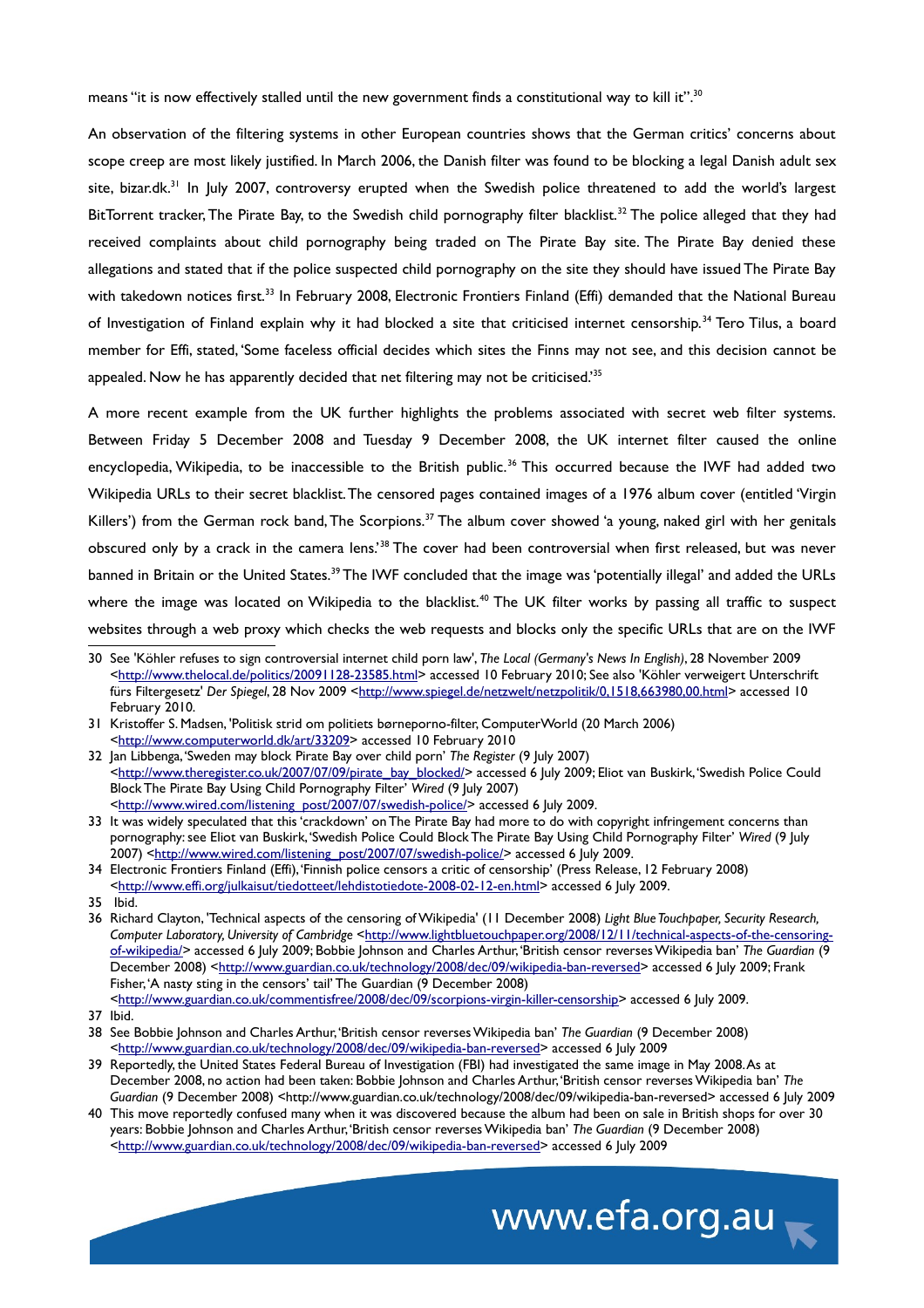means "it is now effectively stalled until the new government finds a constitutional way to kill it".<sup>[30](#page-7-0)</sup>

An observation of the filtering systems in other European countries shows that the German critics' concerns about scope creep are most likely justified. In March 2006, the Danish filter was found to be blocking a legal Danish adult sex site, bizar.dk.<sup>[31](#page-7-1)</sup> In July 2007, controversy erupted when the Swedish police threatened to add the world's largest BitTorrent tracker, The Pirate Bay, to the Swedish child pornography filter blacklist.<sup>[32](#page-7-2)</sup> The police alleged that they had received complaints about child pornography being traded on The Pirate Bay site. The Pirate Bay denied these allegations and stated that if the police suspected child pornography on the site they should have issued The Pirate Bay with takedown notices first.<sup>[33](#page-7-3)</sup> In February 2008, Electronic Frontiers Finland (Effi) demanded that the National Bureau of Investigation of Finland explain why it had blocked a site that criticised internet censorship.<sup>[34](#page-7-4)</sup> Tero Tilus, a board member for Effi, stated, 'Some faceless official decides which sites the Finns may not see, and this decision cannot be appealed. Now he has apparently decided that net filtering may not be criticised.'[35](#page-7-5)

A more recent example from the UK further highlights the problems associated with secret web filter systems. Between Friday 5 December 2008 and Tuesday 9 December 2008, the UK internet filter caused the online encyclopedia, Wikipedia, to be inaccessible to the British public.<sup>[36](#page-7-6)</sup> This occurred because the IWF had added two Wikipedia URLs to their secret blacklist. The censored pages contained images of a 1976 album cover (entitled 'Virgin Killers') from the German rock band, The Scorpions.<sup>[37](#page-7-7)</sup> The album cover showed 'a young, naked girl with her genitals obscured only by a crack in the camera lens.'[38](#page-7-8) The cover had been controversial when first released, but was never banned in Britain or the United States.<sup>[39](#page-7-9)</sup> The IWF concluded that the image was 'potentially illegal' and added the URLs where the image was located on Wikipedia to the blacklist.<sup>[40](#page-7-10)</sup> The UK filter works by passing all traffic to suspect websites through a web proxy which checks the web requests and blocks only the specific URLs that are on the IWF

<span id="page-7-10"></span><sup>40</sup> This move reportedly confused many when it was discovered because the album had been on sale in British shops for over 30 years: Bobbie Johnson and Charles Arthur, 'British censor reverses Wikipedia ban' *The Guardian* (9 December 2008) [<http://www.guardian.co.uk/technology/2008/dec/09/wikipedia-ban-reversed>](http://www.guardian.co.uk/technology/2008/dec/09/wikipedia-ban-reversed) accessed 6 July 2009



<span id="page-7-0"></span><sup>30</sup> See 'Köhler refuses to sign controversial internet child porn law', *The Local (Germany's News In English)*, 28 November 2009 [<http://www.thelocal.de/politics/20091128-23585.html>](http://www.thelocal.de/politics/20091128-23585.html) accessed 10 February 2010; See also 'Köhler verweigert Unterschrift fürs Filtergesetz' Der Spiegel, 28 Nov 2009 [<http://www.spiegel.de/netzwelt/netzpolitik/0,1518,663980,00.html>](http://www.spiegel.de/netzwelt/netzpolitik/0,1518,663980,00.html) accessed 10 February 2010.

<span id="page-7-1"></span><sup>31</sup> Kristoffer S. Madsen, 'Politisk strid om politiets børneporno-filter, ComputerWorld (20 March 2006) [<http://www.computerworld.dk/art/33209>](http://www.computerworld.dk/art/33209) accessed 10 February 2010

<span id="page-7-2"></span><sup>32</sup> Jan Libbenga, 'Sweden may block Pirate Bay over child porn' *The Register* (9 July 2007) [<http://www.theregister.co.uk/2007/07/09/pirate\\_bay\\_blocked/>](http://www.theregister.co.uk/2007/07/09/pirate_bay_blocked/) accessed 6 July 2009; Eliot van Buskirk, 'Swedish Police Could Block The Pirate Bay Using Child Pornography Filter' *Wired* (9 July 2007) [<http://www.wired.com/listening\\_post/2007/07/swedish-police/>](http://www.wired.com/listening_post/2007/07/swedish-police/)accessed 6 July 2009.

<span id="page-7-3"></span><sup>33</sup> It was widely speculated that this 'crackdown' on The Pirate Bay had more to do with copyright infringement concerns than pornography: see Eliot van Buskirk, 'Swedish Police Could Block The Pirate Bay Using Child Pornography Filter' *Wired* (9 July 2007) [<http://www.wired.com/listening\\_post/2007/07/swedish-police/>](http://www.wired.com/listening_post/2007/07/swedish-police/) accessed 6 July 2009.

<span id="page-7-4"></span><sup>34</sup> Electronic Frontiers Finland (Effi), 'Finnish police censors a critic of censorship' (Press Release, 12 February 2008) [<http://www.effi.org/julkaisut/tiedotteet/lehdistotiedote-2008-02-12-en.html>](http://www.effi.org/julkaisut/tiedotteet/lehdistotiedote-2008-02-12-en.html) accessed 6 July 2009.

<span id="page-7-5"></span><sup>35</sup> Ibid.

<span id="page-7-6"></span><sup>36</sup> Richard Clayton, 'Technical aspects of the censoring of Wikipedia' (11 December 2008) *Light Blue Touchpaper, Security Research,* Computer Laboratory, University of Cambridge [<http://www.lightbluetouchpaper.org/2008/12/11/technical-aspects-of-the-censoring](http://www.lightbluetouchpaper.org/2008/12/11/technical-aspects-of-the-censoring-of-wikipedia/)[of-wikipedia/>](http://www.lightbluetouchpaper.org/2008/12/11/technical-aspects-of-the-censoring-of-wikipedia/) accessed 6 July 2009; Bobbie Johnson and Charles Arthur, 'British censor reverses Wikipedia ban' *The Guardian* (9 December 2008) [<http://www.guardian.co.uk/technology/2008/dec/09/wikipedia-ban-reversed>](http://www.guardian.co.uk/technology/2008/dec/09/wikipedia-ban-reversed) accessed 6 July 2009; Frank Fisher, 'A nasty sting in the censors' tail' The Guardian (9 December 2008) [<http://www.guardian.co.uk/commentisfree/2008/dec/09/scorpions-virgin-killer-censorship>](http://www.guardian.co.uk/commentisfree/2008/dec/09/scorpions-virgin-killer-censorship) accessed 6 July 2009.

<span id="page-7-7"></span><sup>37</sup> Ibid.

<span id="page-7-8"></span><sup>38</sup> See Bobbie Johnson and Charles Arthur, 'British censor reverses Wikipedia ban' *The Guardian* (9 December 2008) [<http://www.guardian.co.uk/technology/2008/dec/09/wikipedia-ban-reversed>](http://www.guardian.co.uk/technology/2008/dec/09/wikipedia-ban-reversed) accessed 6 July 2009

<span id="page-7-9"></span><sup>39</sup> Reportedly, the United States Federal Bureau of Investigation (FBI) had investigated the same image in May 2008. As at December 2008, no action had been taken: Bobbie Johnson and Charles Arthur, 'British censor reverses Wikipedia ban' *The Guardian* (9 December 2008) <http://www.guardian.co.uk/technology/2008/dec/09/wikipedia-ban-reversed> accessed 6 July 2009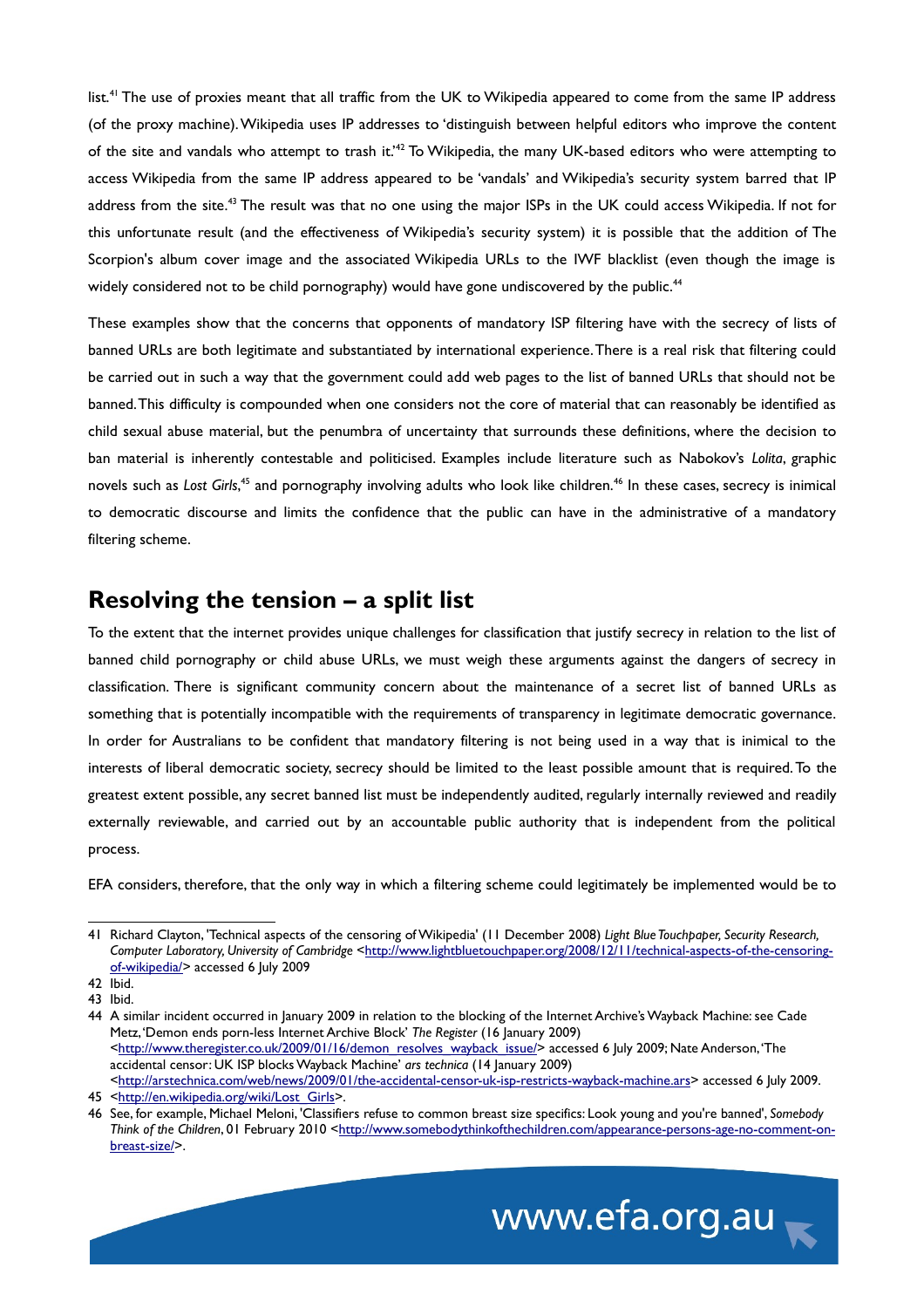list.<sup>[41](#page-8-0)</sup> The use of proxies meant that all traffic from the UK to Wikipedia appeared to come from the same IP address (of the proxy machine). Wikipedia uses IP addresses to 'distinguish between helpful editors who improve the content of the site and vandals who attempt to trash it.'[42](#page-8-1) To Wikipedia, the many UK-based editors who were attempting to access Wikipedia from the same IP address appeared to be 'vandals' and Wikipedia's security system barred that IP address from the site.<sup>[43](#page-8-2)</sup> The result was that no one using the major ISPs in the UK could access Wikipedia. If not for this unfortunate result (and the effectiveness of Wikipedia's security system) it is possible that the addition of The Scorpion's album cover image and the associated Wikipedia URLs to the IWF blacklist (even though the image is widely considered not to be child pornography) would have gone undiscovered by the public.<sup>[44](#page-8-3)</sup>

These examples show that the concerns that opponents of mandatory ISP filtering have with the secrecy of lists of banned URLs are both legitimate and substantiated by international experience. There is a real risk that filtering could be carried out in such a way that the government could add web pages to the list of banned URLs that should not be banned. This difficulty is compounded when one considers not the core of material that can reasonably be identified as child sexual abuse material, but the penumbra of uncertainty that surrounds these definitions, where the decision to ban material is inherently contestable and politicised. Examples include literature such as Nabokov's *Lolita*, graphic novels such as *Lost Girls*,<sup>[45](#page-8-4)</sup> and pornography involving adults who look like children.<sup>[46](#page-8-5)</sup> In these cases, secrecy is inimical to democratic discourse and limits the confidence that the public can have in the administrative of a mandatory filtering scheme.

#### **Resolving the tension – a split list**

To the extent that the internet provides unique challenges for classification that justify secrecy in relation to the list of banned child pornography or child abuse URLs, we must weigh these arguments against the dangers of secrecy in classification. There is significant community concern about the maintenance of a secret list of banned URLs as something that is potentially incompatible with the requirements of transparency in legitimate democratic governance. In order for Australians to be confident that mandatory filtering is not being used in a way that is inimical to the interests of liberal democratic society, secrecy should be limited to the least possible amount that is required. To the greatest extent possible, any secret banned list must be independently audited, regularly internally reviewed and readily externally reviewable, and carried out by an accountable public authority that is independent from the political process.

EFA considers, therefore, that the only way in which a filtering scheme could legitimately be implemented would be to

<span id="page-8-5"></span><sup>46</sup> See, for example, Michael Meloni, 'Classifiers refuse to common breast size specifics: Look young and you're banned', *Somebody Think of the Children*, 01 February 2010 [<http://www.somebodythinkofthechildren.com/appearance-persons-age-no-comment-on](http://www.somebodythinkofthechildren.com/appearance-persons-age-no-comment-on-breast-size/)[breast-size/>](http://www.somebodythinkofthechildren.com/appearance-persons-age-no-comment-on-breast-size/).



<span id="page-8-0"></span><sup>41</sup> Richard Clayton, 'Technical aspects of the censoring of Wikipedia' (11 December 2008) *Light Blue Touchpaper, Security Research,* Computer Laboratory, University of Cambridge [<http://www.lightbluetouchpaper.org/2008/12/11/technical-aspects-of-the-censoring](http://www.lightbluetouchpaper.org/2008/12/11/technical-aspects-of-the-censoring-of-wikipedia/)[of-wikipedia/>](http://www.lightbluetouchpaper.org/2008/12/11/technical-aspects-of-the-censoring-of-wikipedia/) accessed 6 July 2009

<span id="page-8-1"></span> $42$  Ibid.

<span id="page-8-2"></span><sup>43</sup> Ibid.

<span id="page-8-3"></span><sup>44</sup> A similar incident occurred in January 2009 in relation to the blocking of the Internet Archive's Wayback Machine: see Cade Metz, 'Demon ends porn-less Internet Archive Block' *The Register* (16 January 2009) [<http://www.theregister.co.uk/2009/01/16/demon\\_resolves\\_wayback\\_issue/>](http://www.theregister.co.uk/2009/01/16/demon_resolves_wayback_issue/) accessed 6 July 2009; Nate Anderson, 'The accidental censor: UK ISP blocks Wayback Machine' *ars technica* (14 January 2009) [<http://arstechnica.com/web/news/2009/01/the-accidental-censor-uk-isp-restricts-wayback-machine.ars>](http://arstechnica.com/web/news/2009/01/the-accidental-censor-uk-isp-restricts-wayback-machine.ars) accessed 6 July 2009.

<span id="page-8-4"></span><sup>45</sup> [<http://en.wikipedia.org/wiki/Lost\\_Girls>](http://en.wikipedia.org/wiki/Lost_Girls).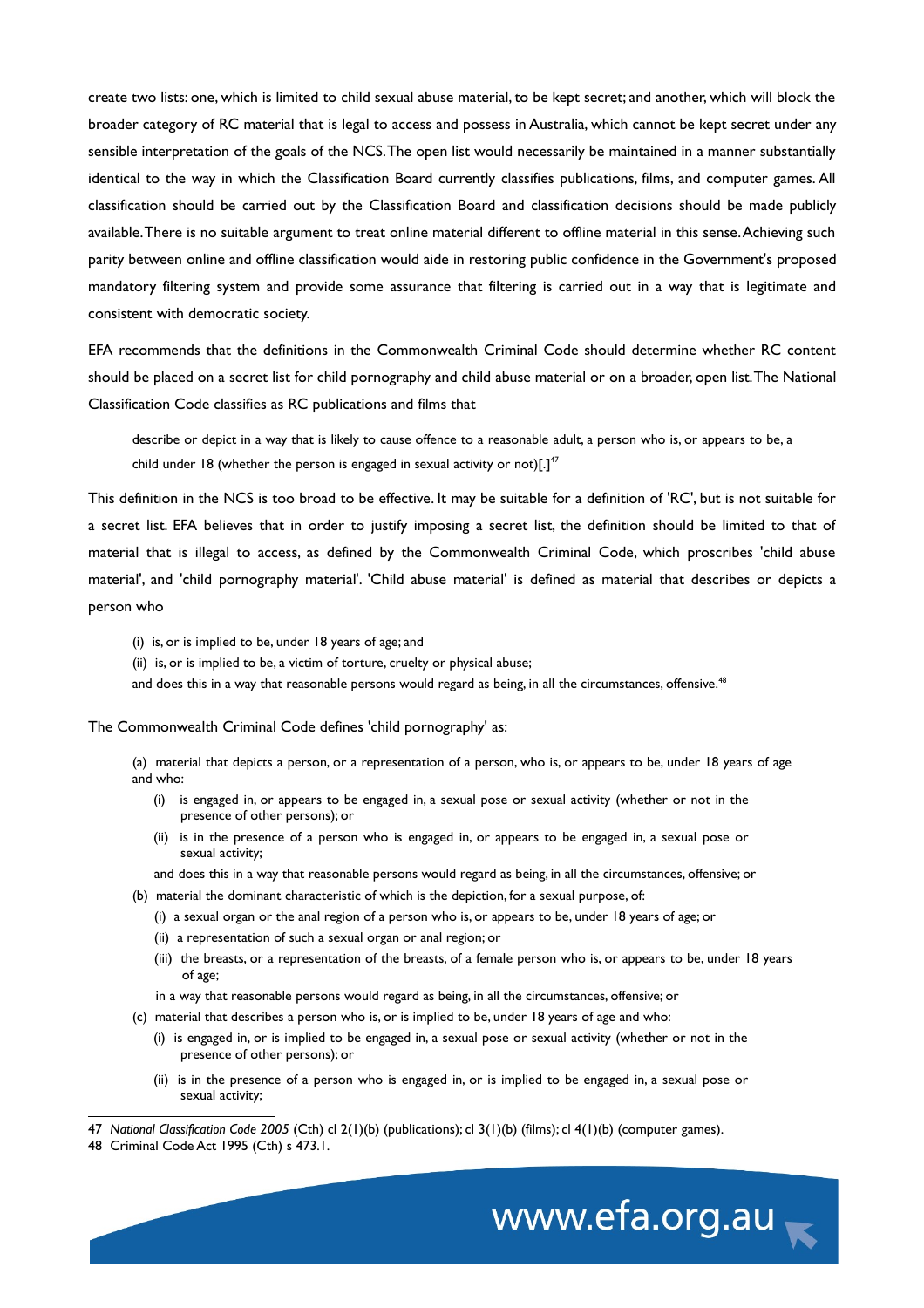create two lists: one, which is limited to child sexual abuse material, to be kept secret; and another, which will block the broader category of RC material that is legal to access and possess in Australia, which cannot be kept secret under any sensible interpretation of the goals of the NCS. The open list would necessarily be maintained in a manner substantially identical to the way in which the Classification Board currently classifies publications, films, and computer games. All classification should be carried out by the Classification Board and classification decisions should be made publicly available. There is no suitable argument to treat online material different to offline material in this sense. Achieving such parity between online and offline classification would aide in restoring public confidence in the Government's proposed mandatory filtering system and provide some assurance that filtering is carried out in a way that is legitimate and consistent with democratic society.

EFA recommends that the definitions in the Commonwealth Criminal Code should determine whether RC content should be placed on a secret list for child pornography and child abuse material or on a broader, open list. The National Classification Code classifies as RC publications and films that

describe or depict in a way that is likely to cause offence to a reasonable adult, a person who is, or appears to be, a child under 18 (whether the person is engaged in sexual activity or not)[.] $47$ 

This definition in the NCS is too broad to be effective. It may be suitable for a definition of 'RC', but is not suitable for a secret list. EFA believes that in order to justify imposing a secret list, the definition should be limited to that of material that is illegal to access, as defined by the Commonwealth Criminal Code, which proscribes 'child abuse material', and 'child pornography material'. 'Child abuse material' is defined as material that describes or depicts a person who

- (i) is, or is implied to be, under 18 years of age; and
- (ii) is, or is implied to be, a victim of torture, cruelty or physical abuse;

and does this in a way that reasonable persons would regard as being, in all the circumstances, offensive.<sup>[48](#page-9-1)</sup>

The Commonwealth Criminal Code defines 'child pornography' as:

(a) material that depicts a person, or a representation of a person, who is, or appears to be, under 18 years of age and who:

- (i) is engaged in, or appears to be engaged in, a sexual pose or sexual activity (whether or not in the presence of other persons); or
- (ii) is in the presence of a person who is engaged in, or appears to be engaged in, a sexual pose or sexual activity;

and does this in a way that reasonable persons would regard as being, in all the circumstances, offensive; or

- (b) material the dominant characteristic of which is the depiction, for a sexual purpose, of:
	- (i) a sexual organ or the anal region of a person who is, or appears to be, under 18 years of age; or
	- (ii) a representation of such a sexual organ or anal region; or
	- (iii) the breasts, or a representation of the breasts, of a female person who is, or appears to be, under 18 years of age;
	- in a way that reasonable persons would regard as being, in all the circumstances, offensive; or
- (c) material that describes a person who is, or is implied to be, under 18 years of age and who:
	- (i) is engaged in, or is implied to be engaged in, a sexual pose or sexual activity (whether or not in the presence of other persons); or
	- (ii) is in the presence of a person who is engaged in, or is implied to be engaged in, a sexual pose or sexual activity;

<span id="page-9-0"></span>47 *National Classification Code 2005* (Cth) cl 2(1)(b) (publications); cl 3(1)(b) (films); cl 4(1)(b) (computer games).



<span id="page-9-1"></span><sup>48</sup> Criminal Code Act 1995 (Cth) s 473.1.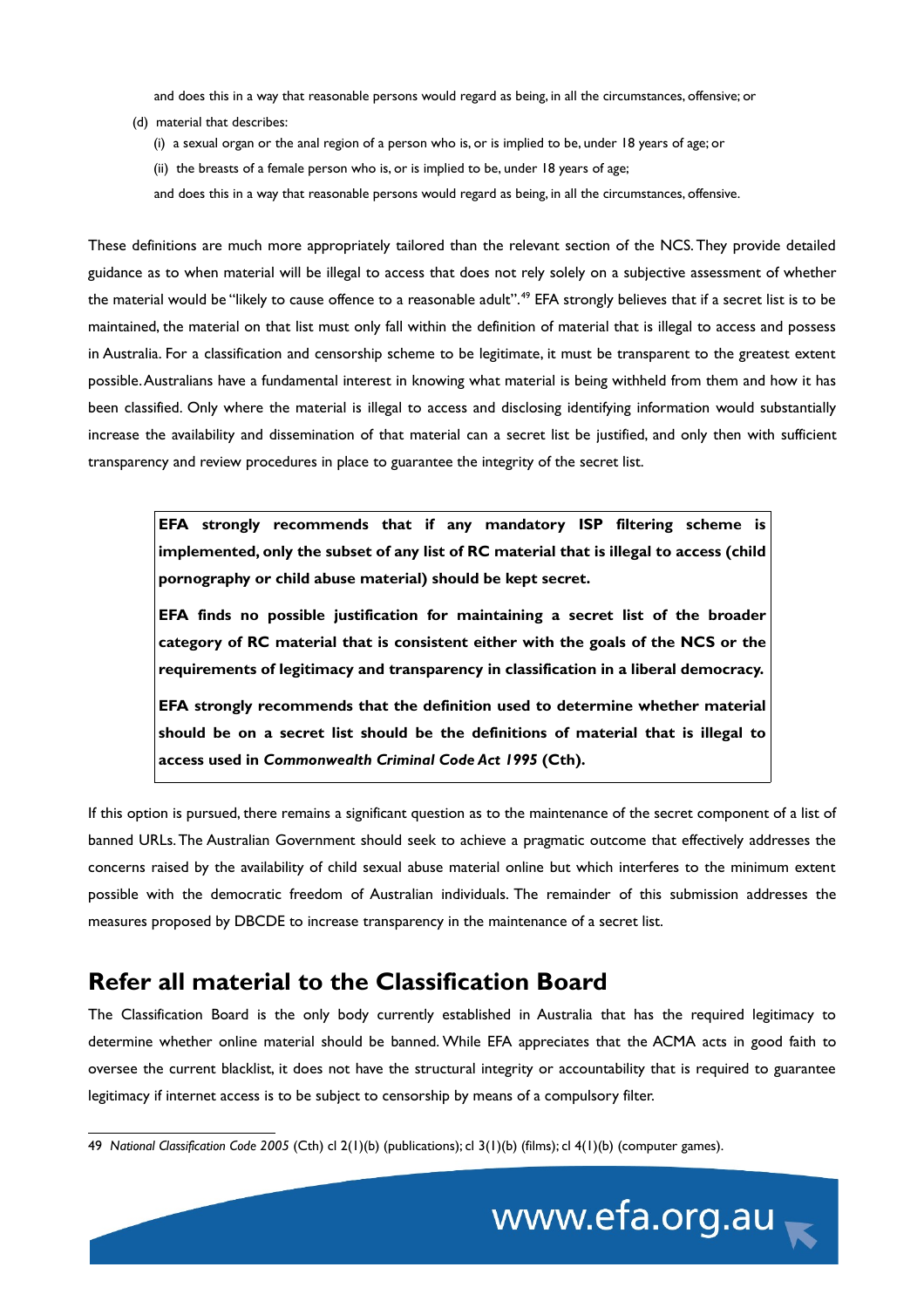and does this in a way that reasonable persons would regard as being, in all the circumstances, offensive; or

- (d) material that describes:
	- (i) a sexual organ or the anal region of a person who is, or is implied to be, under 18 years of age; or
	- (ii) the breasts of a female person who is, or is implied to be, under 18 years of age;

and does this in a way that reasonable persons would regard as being, in all the circumstances, offensive.

These definitions are much more appropriately tailored than the relevant section of the NCS. They provide detailed guidance as to when material will be illegal to access that does not rely solely on a subjective assessment of whether the material would be "likely to cause offence to a reasonable adult".<sup>[49](#page-10-0)</sup> EFA strongly believes that if a secret list is to be maintained, the material on that list must only fall within the definition of material that is illegal to access and possess in Australia. For a classification and censorship scheme to be legitimate, it must be transparent to the greatest extent possible. Australians have a fundamental interest in knowing what material is being withheld from them and how it has been classified. Only where the material is illegal to access and disclosing identifying information would substantially increase the availability and dissemination of that material can a secret list be justified, and only then with sufficient transparency and review procedures in place to guarantee the integrity of the secret list.

**EFA strongly recommends that if any mandatory ISP filtering scheme is implemented, only the subset of any list of RC material that is illegal to access (child pornography or child abuse material) should be kept secret.** 

**EFA finds no possible justification for maintaining a secret list of the broader category of RC material that is consistent either with the goals of the NCS or the requirements of legitimacy and transparency in classification in a liberal democracy.**

**EFA strongly recommends that the definition used to determine whether material should be on a secret list should be the definitions of material that is illegal to access used in** *Commonwealth Criminal Code Act 1995* **(Cth).**

If this option is pursued, there remains a significant question as to the maintenance of the secret component of a list of banned URLs. The Australian Government should seek to achieve a pragmatic outcome that effectively addresses the concerns raised by the availability of child sexual abuse material online but which interferes to the minimum extent possible with the democratic freedom of Australian individuals. The remainder of this submission addresses the measures proposed by DBCDE to increase transparency in the maintenance of a secret list.

#### **Refer all material to the Classification Board**

The Classification Board is the only body currently established in Australia that has the required legitimacy to determine whether online material should be banned. While EFA appreciates that the ACMA acts in good faith to oversee the current blacklist, it does not have the structural integrity or accountability that is required to guarantee legitimacy if internet access is to be subject to censorship by means of a compulsory filter.

<span id="page-10-0"></span><sup>49</sup> *National Classification Code 2005* (Cth) cl 2(1)(b) (publications); cl 3(1)(b) (films); cl 4(1)(b) (computer games).

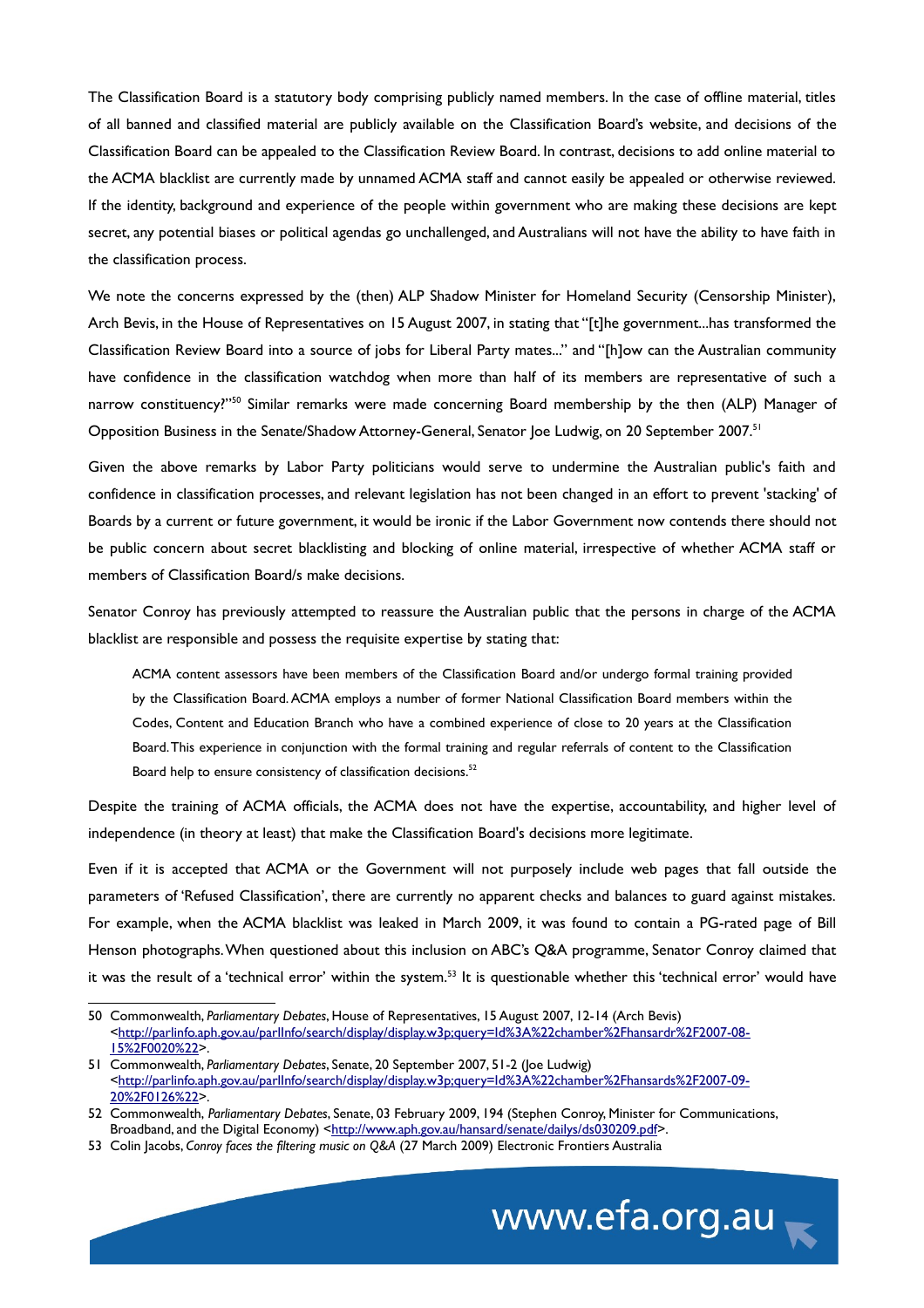The Classification Board is a statutory body comprising publicly named members. In the case of offline material, titles of all banned and classified material are publicly available on the Classification Board's website, and decisions of the Classification Board can be appealed to the Classification Review Board. In contrast, decisions to add online material to the ACMA blacklist are currently made by unnamed ACMA staff and cannot easily be appealed or otherwise reviewed. If the identity, background and experience of the people within government who are making these decisions are kept secret, any potential biases or political agendas go unchallenged, and Australians will not have the ability to have faith in the classification process.

We note the concerns expressed by the (then) ALP Shadow Minister for Homeland Security (Censorship Minister), Arch Bevis, in the House of Representatives on 15 August 2007, in stating that "[t]he government...has transformed the Classification Review Board into a source of jobs for Liberal Party mates..." and "[h]ow can the Australian community have confidence in the classification watchdog when more than half of its members are representative of such a narrow constituency?"<sup>[50](#page-11-0)</sup> Similar remarks were made concerning Board membership by the then (ALP) Manager of Opposition Business in the Senate/Shadow Attorney-General, Senator Joe Ludwig, on 20 September 2007.[51](#page-11-1)

Given the above remarks by Labor Party politicians would serve to undermine the Australian public's faith and confidence in classification processes, and relevant legislation has not been changed in an effort to prevent 'stacking' of Boards by a current or future government, it would be ironic if the Labor Government now contends there should not be public concern about secret blacklisting and blocking of online material, irrespective of whether ACMA staff or members of Classification Board/s make decisions.

Senator Conroy has previously attempted to reassure the Australian public that the persons in charge of the ACMA blacklist are responsible and possess the requisite expertise by stating that:

ACMA content assessors have been members of the Classification Board and/or undergo formal training provided by the Classification Board. ACMA employs a number of former National Classification Board members within the Codes, Content and Education Branch who have a combined experience of close to 20 years at the Classification Board. This experience in conjunction with the formal training and regular referrals of content to the Classification Board help to ensure consistency of classification decisions.<sup>[52](#page-11-2)</sup>

Despite the training of ACMA officials, the ACMA does not have the expertise, accountability, and higher level of independence (in theory at least) that make the Classification Board's decisions more legitimate.

Even if it is accepted that ACMA or the Government will not purposely include web pages that fall outside the parameters of 'Refused Classification', there are currently no apparent checks and balances to guard against mistakes. For example, when the ACMA blacklist was leaked in March 2009, it was found to contain a PG-rated page of Bill Henson photographs. When questioned about this inclusion on ABC's Q&A programme, Senator Conroy claimed that it was the result of a 'technical error' within the system.<sup>[53](#page-11-3)</sup> It is questionable whether this 'technical error' would have

<span id="page-11-3"></span><sup>53</sup> Colin Jacobs, *Conroy faces the filtering music on Q&A* (27 March 2009) Electronic Frontiers Australia



<span id="page-11-0"></span><sup>50</sup> Commonwealth, *Parliamentary Debates*, House of Representatives, 15 August 2007, 12-14 (Arch Bevis) [<http://parlinfo.aph.gov.au/parlInfo/search/display/display.w3p;query=Id%3A%22chamber%2Fhansardr%2F2007-08-](http://parlinfo.aph.gov.au/parlInfo/search/display/display.w3p;query=Id%3A%22chamber%2Fhansardr%2F2007-08-15%2F0020%22) [15%2F0020%22>](http://parlinfo.aph.gov.au/parlInfo/search/display/display.w3p;query=Id%3A%22chamber%2Fhansardr%2F2007-08-15%2F0020%22).

<span id="page-11-1"></span><sup>51</sup> Commonwealth, *Parliamentary Debates*, Senate, 20 September 2007, 51-2 (Joe Ludwig) [< http ://parlinfo.aph.gov.au/parlInfo/search/display/display.w3p;query=Id%3A%22chamber%2Fhansards%2F2007-09-](http://parlinfo.aph.gov.au/parlInfo/search/display/display.w3p;query=Id%3A%22chamber%2Fhansards%2F2007-09-20%2F0126%22) [20%2F0126%22>](http://parlinfo.aph.gov.au/parlInfo/search/display/display.w3p;query=Id%3A%22chamber%2Fhansards%2F2007-09-20%2F0126%22).

<span id="page-11-2"></span><sup>52</sup> Commonwealth, *Parliamentary Debates*, Senate, 03 February 2009, 194 (Stephen Conroy, Minister for Communications, Broadband, and the Digital Economy) [<http://www.aph.gov.au/hansard/senate/dailys/ds030209.pdf>](http://www.aph.gov.au/hansard/senate/dailys/ds030209.pdf).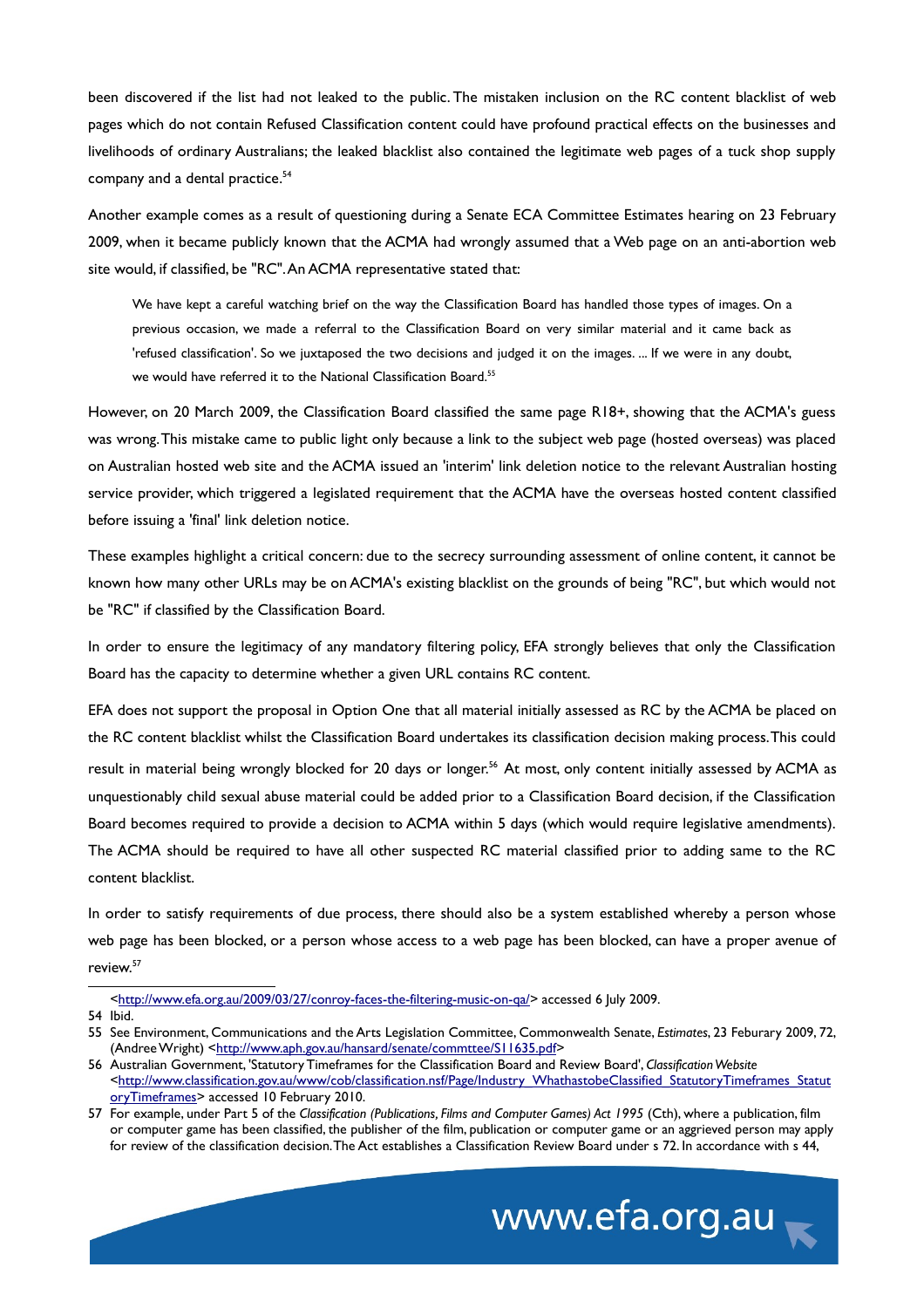been discovered if the list had not leaked to the public. The mistaken inclusion on the RC content blacklist of web pages which do not contain Refused Classification content could have profound practical effects on the businesses and livelihoods of ordinary Australians; the leaked blacklist also contained the legitimate web pages of a tuck shop supply company and a dental practice.<sup>[54](#page-12-0)</sup>

Another example comes as a result of questioning during a Senate ECA Committee Estimates hearing on 23 February 2009, when it became publicly known that the ACMA had wrongly assumed that a Web page on an anti-abortion web site would, if classified, be "RC". An ACMA representative stated that:

We have kept a careful watching brief on the way the Classification Board has handled those types of images. On a previous occasion, we made a referral to the Classification Board on very similar material and it came back as 'refused classification'. So we juxtaposed the two decisions and judged it on the images. ... If we were in any doubt, we would have referred it to the National Classification Board.<sup>[55](#page-12-1)</sup>

However, on 20 March 2009, the Classification Board classified the same page R18+, showing that the ACMA's guess was wrong. This mistake came to public light only because a link to the subject web page (hosted overseas) was placed on Australian hosted web site and the ACMA issued an 'interim' link deletion notice to the relevant Australian hosting service provider, which triggered a legislated requirement that the ACMA have the overseas hosted content classified before issuing a 'final' link deletion notice.

These examples highlight a critical concern: due to the secrecy surrounding assessment of online content, it cannot be known how many other URLs may be on ACMA's existing blacklist on the grounds of being "RC", but which would not be "RC" if classified by the Classification Board.

In order to ensure the legitimacy of any mandatory filtering policy, EFA strongly believes that only the Classification Board has the capacity to determine whether a given URL contains RC content.

EFA does not support the proposal in Option One that all material initially assessed as RC by the ACMA be placed on the RC content blacklist whilst the Classification Board undertakes its classification decision making process. This could result in material being wrongly blocked for 20 days or longer.<sup>[56](#page-12-2)</sup> At most, only content initially assessed by ACMA as unquestionably child sexual abuse material could be added prior to a Classification Board decision, if the Classification Board becomes required to provide a decision to ACMA within 5 days (which would require legislative amendments). The ACMA should be required to have all other suspected RC material classified prior to adding same to the RC content blacklist.

In order to satisfy requirements of due process, there should also be a system established whereby a person whose web page has been blocked, or a person whose access to a web page has been blocked, can have a proper avenue of review.[57](#page-12-3)

<span id="page-12-0"></span>[<http://www.efa.org.au/2009/03/27/conroy-faces-the-filtering-music-on-qa/>](http://www.efa.org.au/2009/03/27/conroy-faces-the-filtering-music-on-qa/) accessed 6 July 2009.

54 Ibid.

<span id="page-12-3"></span><sup>57</sup> For example, under Part 5 of the *Classification (Publications, Films and Computer Games) Act 1995* (Cth), where a publication, film or computer game has been classified, the publisher of the film, publication or computer game or an aggrieved person may apply for review of the classification decision. The Act establishes a Classification Review Board under s 72. In accordance with s 44,



<span id="page-12-1"></span><sup>55</sup> See Environment, Communications and the Arts Legislation Committee, Commonwealth Senate, *Estimates*, 23 Feburary 2009, 72, (Andree Wright) [<http://www.aph.gov.au/hansard/senate/commttee/S11635.pdf>](http://www.aph.gov.au/hansard/senate/commttee/S11635.pdf)

<span id="page-12-2"></span><sup>56</sup> Australian Government, 'Statutory Timeframes for the Classification Board and Review Board', *Classification Website* [<http://www.classification.gov.au/www/cob/classification.nsf/Page/Industry\\_WhathastobeClassified\\_StatutoryTimeframes\\_Statut](http://www.classification.gov.au/www/cob/classification.nsf/Page/Industry_WhathastobeClassified_StatutoryTimeframes_StatutoryTimeframes) [oryTimeframes>](http://www.classification.gov.au/www/cob/classification.nsf/Page/Industry_WhathastobeClassified_StatutoryTimeframes_StatutoryTimeframes) accessed 10 February 2010.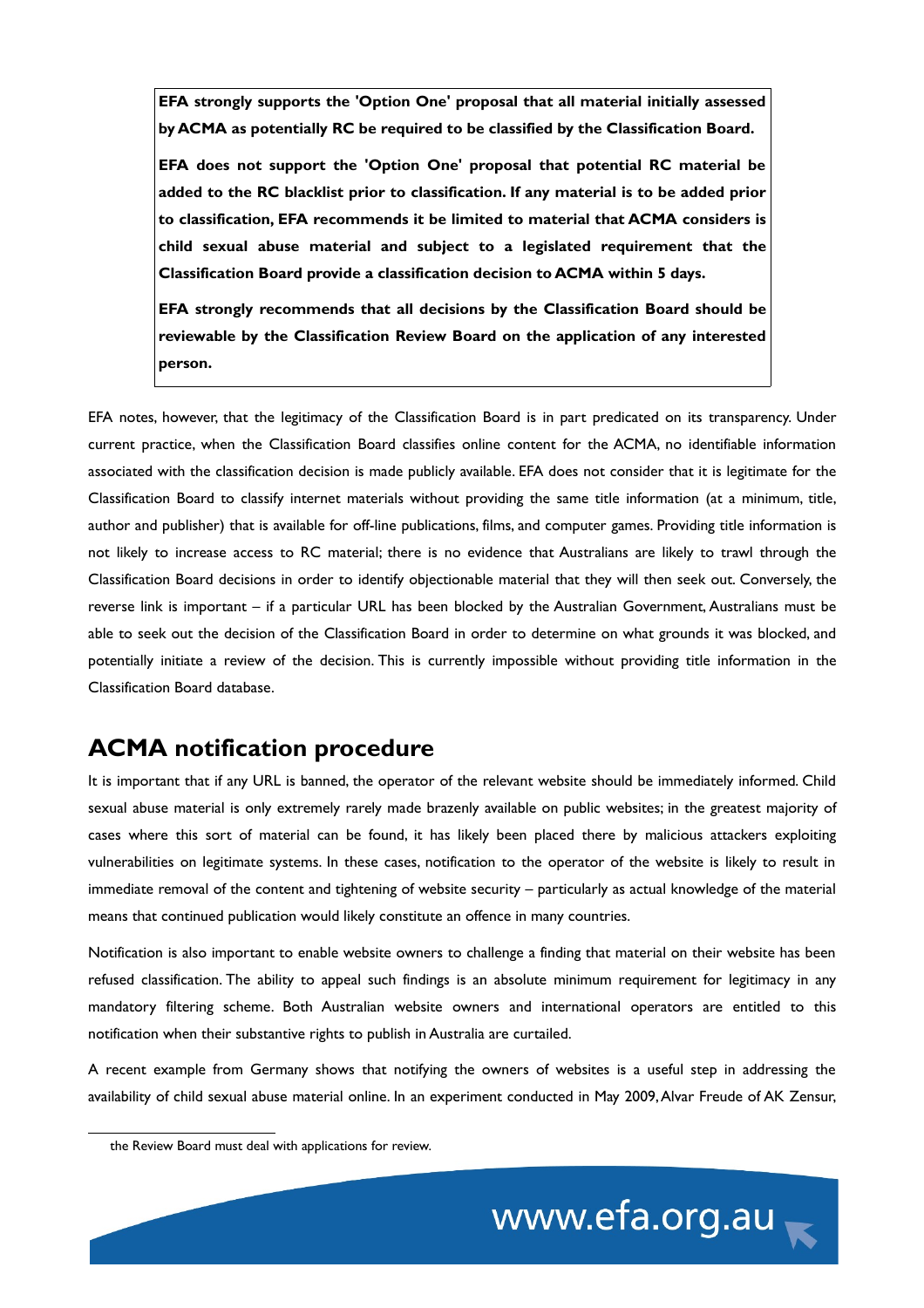**EFA strongly supports the 'Option One' proposal that all material initially assessed by ACMA as potentially RC be required to be classified by the Classification Board.** 

**EFA does not support the 'Option One' proposal that potential RC material be added to the RC blacklist prior to classification. If any material is to be added prior to classification, EFA recommends it be limited to material that ACMA considers is child sexual abuse material and subject to a legislated requirement that the Classification Board provide a classification decision to ACMA within 5 days.**

**EFA strongly recommends that all decisions by the Classification Board should be reviewable by the Classification Review Board on the application of any interested person.**

EFA notes, however, that the legitimacy of the Classification Board is in part predicated on its transparency. Under current practice, when the Classification Board classifies online content for the ACMA, no identifiable information associated with the classification decision is made publicly available. EFA does not consider that it is legitimate for the Classification Board to classify internet materials without providing the same title information (at a minimum, title, author and publisher) that is available for off-line publications, films, and computer games. Providing title information is not likely to increase access to RC material; there is no evidence that Australians are likely to trawl through the Classification Board decisions in order to identify objectionable material that they will then seek out. Conversely, the reverse link is important – if a particular URL has been blocked by the Australian Government, Australians must be able to seek out the decision of the Classification Board in order to determine on what grounds it was blocked, and potentially initiate a review of the decision. This is currently impossible without providing title information in the Classification Board database.

## **ACMA notification procedure**

It is important that if any URL is banned, the operator of the relevant website should be immediately informed. Child sexual abuse material is only extremely rarely made brazenly available on public websites; in the greatest majority of cases where this sort of material can be found, it has likely been placed there by malicious attackers exploiting vulnerabilities on legitimate systems. In these cases, notification to the operator of the website is likely to result in immediate removal of the content and tightening of website security – particularly as actual knowledge of the material means that continued publication would likely constitute an offence in many countries.

Notification is also important to enable website owners to challenge a finding that material on their website has been refused classification. The ability to appeal such findings is an absolute minimum requirement for legitimacy in any mandatory filtering scheme. Both Australian website owners and international operators are entitled to this notification when their substantive rights to publish in Australia are curtailed.

A recent example from Germany shows that notifying the owners of websites is a useful step in addressing the availability of child sexual abuse material online. In an experiment conducted in May 2009, Alvar Freude of AK Zensur,

the Review Board must deal with applications for review.

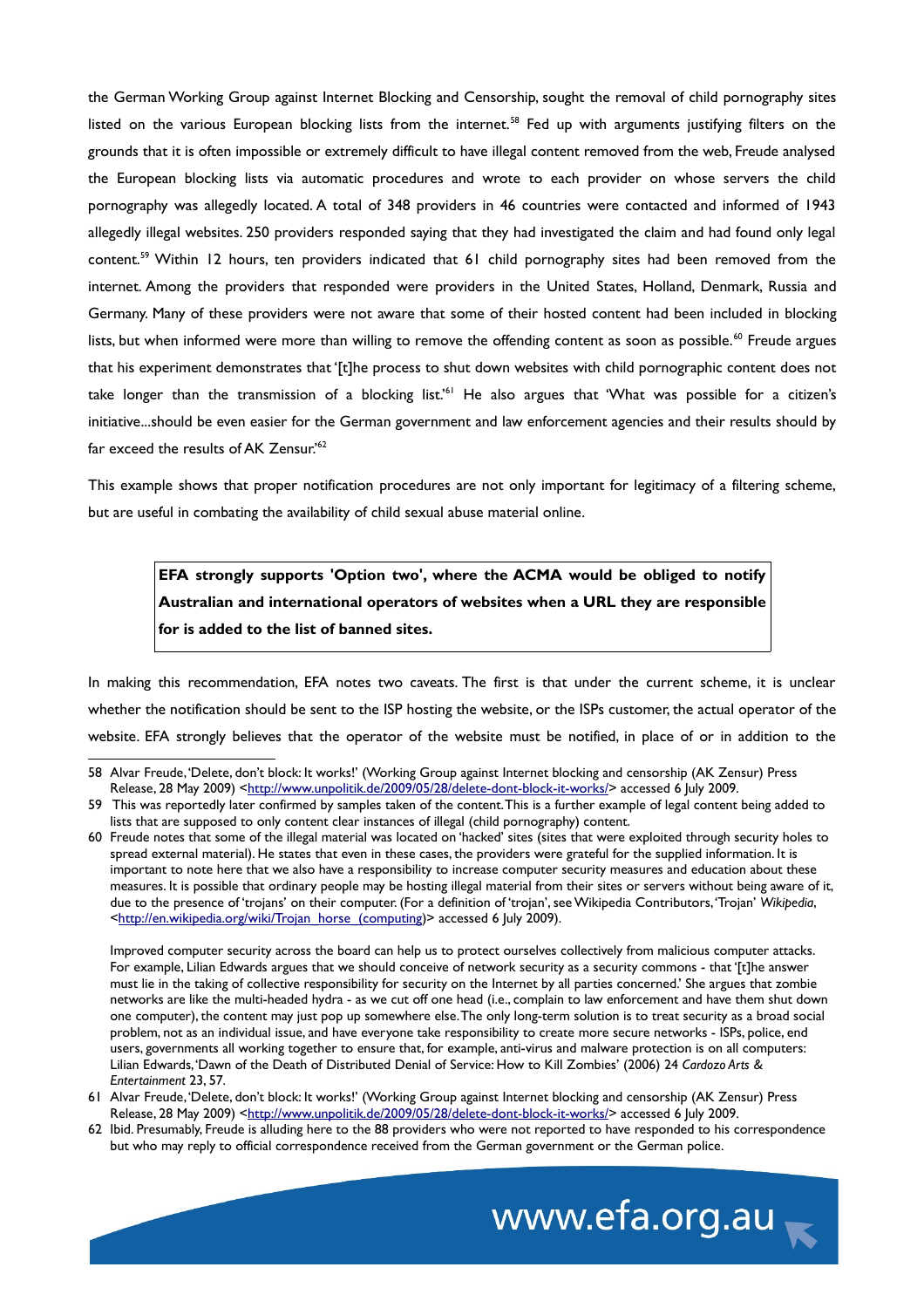the German Working Group against Internet Blocking and Censorship, sought the removal of child pornography sites listed on the various European blocking lists from the internet.<sup>[58](#page-14-0)</sup> Fed up with arguments justifying filters on the grounds that it is often impossible or extremely difficult to have illegal content removed from the web, Freude analysed the European blocking lists via automatic procedures and wrote to each provider on whose servers the child pornography was allegedly located. A total of 348 providers in 46 countries were contacted and informed of 1943 allegedly illegal websites. 250 providers responded saying that they had investigated the claim and had found only legal content.<sup>[59](#page-14-1)</sup> Within 12 hours, ten providers indicated that 61 child pornography sites had been removed from the internet. Among the providers that responded were providers in the United States, Holland, Denmark, Russia and Germany. Many of these providers were not aware that some of their hosted content had been included in blocking lists, but when informed were more than willing to remove the offending content as soon as possible.<sup>[60](#page-14-2)</sup> Freude argues that his experiment demonstrates that '[t]he process to shut down websites with child pornographic content does not take longer than the transmission of a blocking list.'[61](#page-14-3) He also argues that 'What was possible for a citizen's initiative...should be even easier for the German government and law enforcement agencies and their results should by far exceed the results of AK Zensur.'<sup>[62](#page-14-4)</sup>

This example shows that proper notification procedures are not only important for legitimacy of a filtering scheme, but are useful in combating the availability of child sexual abuse material online.

**EFA strongly supports 'Option two', where the ACMA would be obliged to notify Australian and international operators of websites when a URL they are responsible for is added to the list of banned sites.**

In making this recommendation, EFA notes two caveats. The first is that under the current scheme, it is unclear whether the notification should be sent to the ISP hosting the website, or the ISPs customer, the actual operator of the website. EFA strongly believes that the operator of the website must be notified, in place of or in addition to the

<span id="page-14-4"></span><sup>62</sup> Ibid. Presumably, Freude is alluding here to the 88 providers who were not reported to have responded to his correspondence but who may reply to official correspondence received from the German government or the German police.



<span id="page-14-0"></span><sup>58</sup> Alvar Freude, 'Delete, don't block: It works!' (Working Group against Internet blocking and censorship (AK Zensur) Press Release, 28 May 2009) [<http://www.unpolitik.de/2009/05/28/delete-dont-block-it-works/>](http://www.unpolitik.de/2009/05/28/delete-dont-block-it-works/) accessed 6 July 2009.

<span id="page-14-1"></span><sup>59</sup> This was reportedly later confirmed by samples taken of the content. This is a further example of legal content being added to lists that are supposed to only content clear instances of illegal (child pornography) content.

<span id="page-14-2"></span><sup>60</sup> Freude notes that some of the illegal material was located on 'hacked' sites (sites that were exploited through security holes to spread external material). He states that even in these cases, the providers were grateful for the supplied information. It is important to note here that we also have a responsibility to increase computer security measures and education about these measures. It is possible that ordinary people may be hosting illegal material from their sites or servers without being aware of it, due to the presence of 'trojans' on their computer. (For a definition of 'trojan', see Wikipedia Contributors, 'Trojan' *Wikipedia*, [<http://en.wikipedia.org/wiki/Trojan\\_horse\\_\(computing\)](http://en.wikipedia.org/wiki/Trojan_horse_(computing)> accessed 6 July 2009).

Improved computer security across the board can help us to protect ourselves collectively from malicious computer attacks. For example, Lilian Edwards argues that we should conceive of network security as a security commons - that '[t]he answer must lie in the taking of collective responsibility for security on the Internet by all parties concerned.' She argues that zombie networks are like the multi-headed hydra - as we cut off one head (i.e., complain to law enforcement and have them shut down one computer), the content may just pop up somewhere else. The only long-term solution is to treat security as a broad social problem, not as an individual issue, and have everyone take responsibility to create more secure networks - ISPs, police, end users, governments all working together to ensure that, for example, anti-virus and malware protection is on all computers: Lilian Edwards, 'Dawn of the Death of Distributed Denial of Service: How to Kill Zombies' (2006) 24 *Cardozo Arts & Entertainment* 23, 57.

<span id="page-14-3"></span><sup>61</sup> Alvar Freude, 'Delete, don't block: It works!' (Working Group against Internet blocking and censorship (AK Zensur) Press Release, 28 May 2009) [<http://www.unpolitik.de/2009/05/28/delete-dont-block-it-works/>](http://www.unpolitik.de/2009/05/28/delete-dont-block-it-works/) accessed 6 July 2009.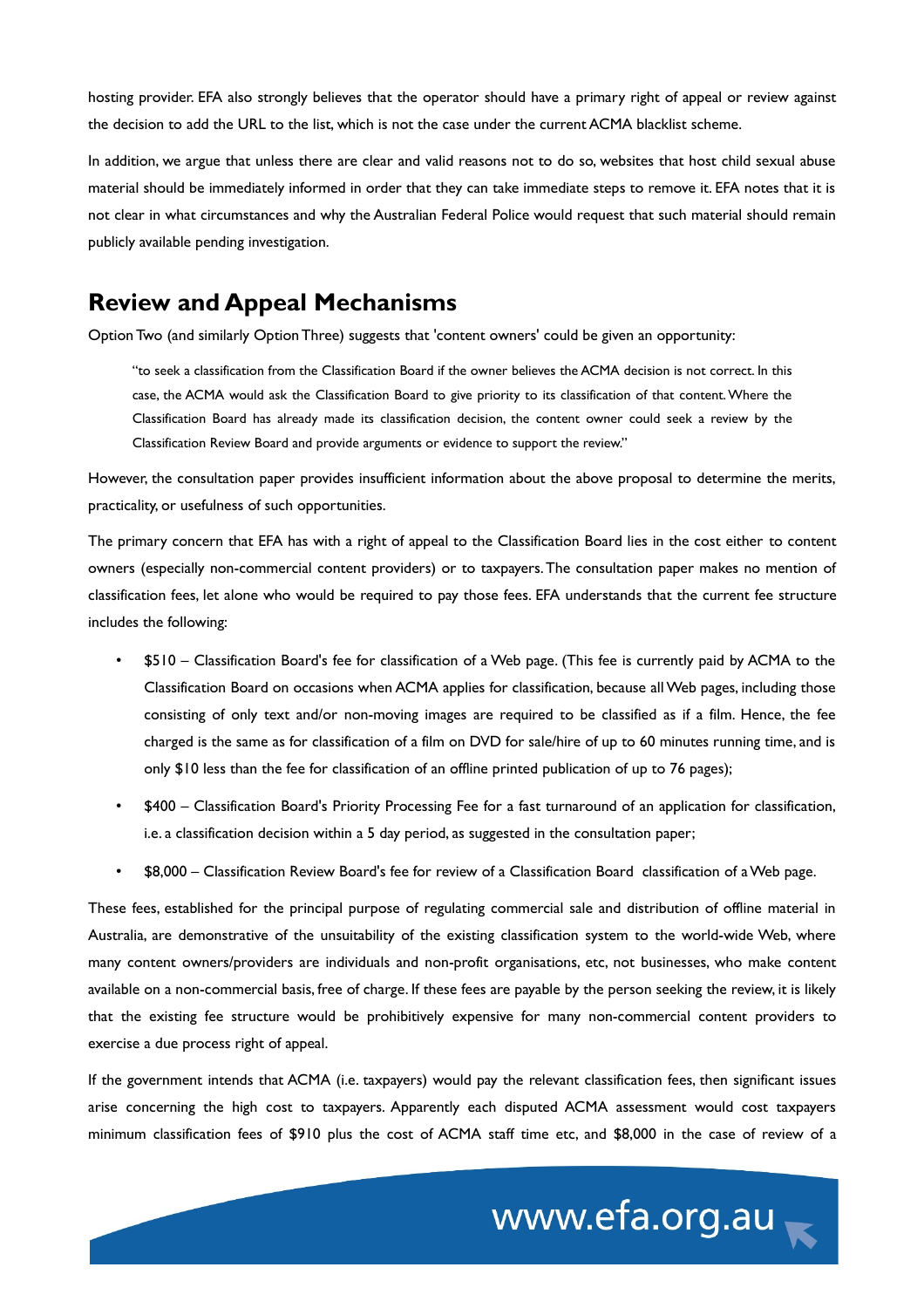hosting provider. EFA also strongly believes that the operator should have a primary right of appeal or review against the decision to add the URL to the list, which is not the case under the current ACMA blacklist scheme.

In addition, we argue that unless there are clear and valid reasons not to do so, websites that host child sexual abuse material should be immediately informed in order that they can take immediate steps to remove it. EFA notes that it is not clear in what circumstances and why the Australian Federal Police would request that such material should remain publicly available pending investigation.

#### **Review and Appeal Mechanisms**

Option Two (and similarly Option Three) suggests that 'content owners' could be given an opportunity:

"to seek a classification from the Classification Board if the owner believes the ACMA decision is not correct. In this case, the ACMA would ask the Classification Board to give priority to its classification of that content. Where the Classification Board has already made its classification decision, the content owner could seek a review by the Classification Review Board and provide arguments or evidence to support the review."

However, the consultation paper provides insufficient information about the above proposal to determine the merits, practicality, or usefulness of such opportunities.

The primary concern that EFA has with a right of appeal to the Classification Board lies in the cost either to content owners (especially non-commercial content providers) or to taxpayers. The consultation paper makes no mention of classification fees, let alone who would be required to pay those fees. EFA understands that the current fee structure includes the following:

- \$510 Classification Board's fee for classification of a Web page. (This fee is currently paid by ACMA to the Classification Board on occasions when ACMA applies for classification, because all Web pages, including those consisting of only text and/or non-moving images are required to be classified as if a film. Hence, the fee charged is the same as for classification of a film on DVD for sale/hire of up to 60 minutes running time, and is only \$10 less than the fee for classification of an offline printed publication of up to 76 pages);
- \$400 Classification Board's Priority Processing Fee for a fast turnaround of an application for classification, i.e. a classification decision within a 5 day period, as suggested in the consultation paper;
- \$8,000 Classification Review Board's fee for review of a Classification Board classification of a Web page.

These fees, established for the principal purpose of regulating commercial sale and distribution of offline material in Australia, are demonstrative of the unsuitability of the existing classification system to the world-wide Web, where many content owners/providers are individuals and non-profit organisations, etc, not businesses, who make content available on a non-commercial basis, free of charge. If these fees are payable by the person seeking the review, it is likely that the existing fee structure would be prohibitively expensive for many non-commercial content providers to exercise a due process right of appeal.

If the government intends that ACMA (i.e. taxpayers) would pay the relevant classification fees, then significant issues arise concerning the high cost to taxpayers. Apparently each disputed ACMA assessment would cost taxpayers minimum classification fees of \$910 plus the cost of ACMA staff time etc, and \$8,000 in the case of review of a

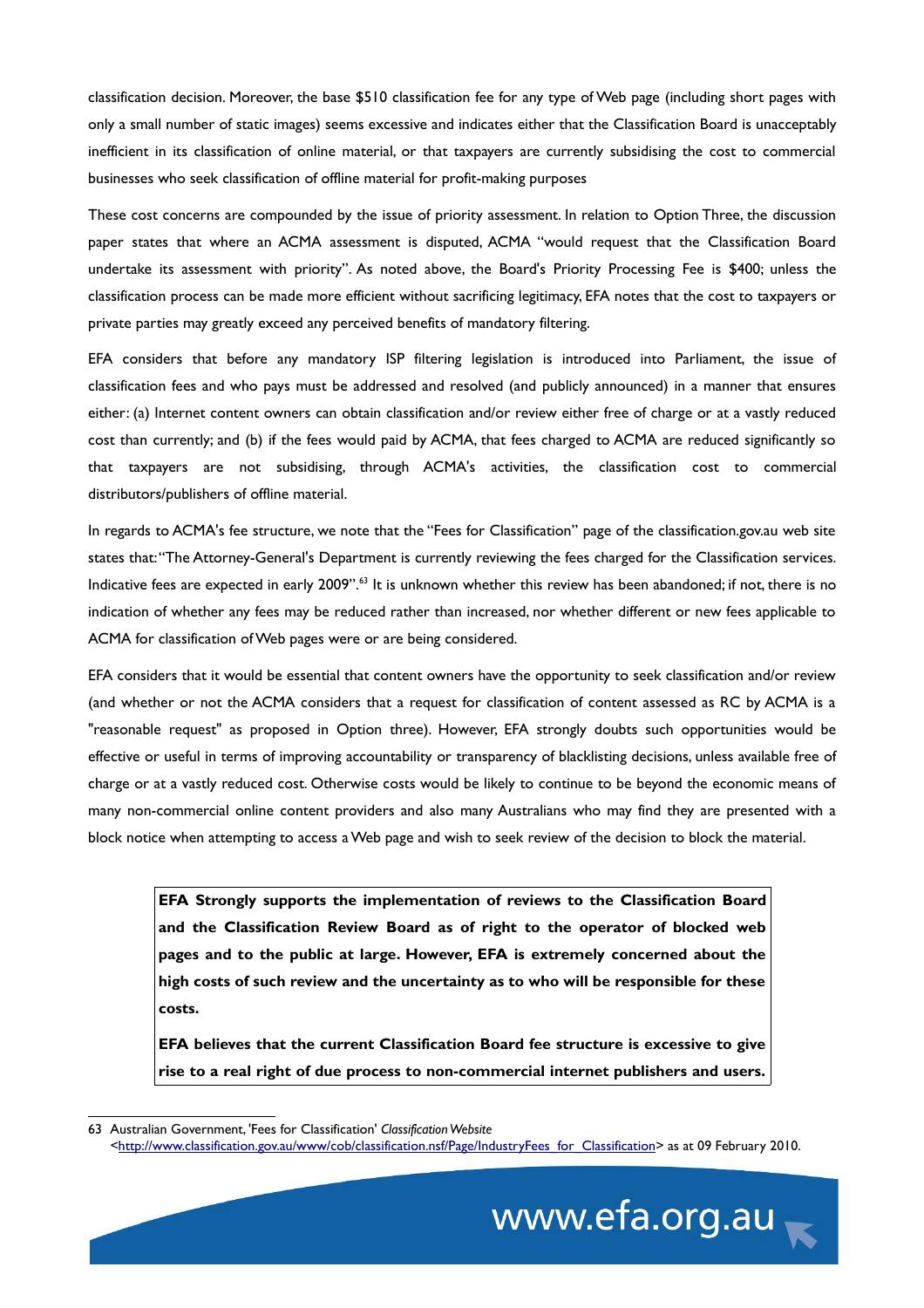classification decision. Moreover, the base \$510 classification fee for any type of Web page (including short pages with only a small number of static images) seems excessive and indicates either that the Classification Board is unacceptably inefficient in its classification of online material, or that taxpayers are currently subsidising the cost to commercial businesses who seek classification of offline material for profit-making purposes

These cost concerns are compounded by the issue of priority assessment. In relation to Option Three, the discussion paper states that where an ACMA assessment is disputed, ACMA "would request that the Classification Board undertake its assessment with priority". As noted above, the Board's Priority Processing Fee is \$400; unless the classification process can be made more efficient without sacrificing legitimacy, EFA notes that the cost to taxpayers or private parties may greatly exceed any perceived benefits of mandatory filtering.

EFA considers that before any mandatory ISP filtering legislation is introduced into Parliament, the issue of classification fees and who pays must be addressed and resolved (and publicly announced) in a manner that ensures either: (a) Internet content owners can obtain classification and/or review either free of charge or at a vastly reduced cost than currently; and (b) if the fees would paid by ACMA, that fees charged to ACMA are reduced significantly so that taxpayers are not subsidising, through ACMA's activities, the classification cost to commercial distributors/publishers of offline material.

In regards to ACMA's fee structure, we note that the "Fees for Classification" page of the classification.gov.au web site states that: "The Attorney-General's Department is currently reviewing the fees charged for the Classification services. Indicative fees are expected in early 2009".<sup>[63](#page-16-0)</sup> It is unknown whether this review has been abandoned; if not, there is no indication of whether any fees may be reduced rather than increased, nor whether different or new fees applicable to ACMA for classification of Web pages were or are being considered.

EFA considers that it would be essential that content owners have the opportunity to seek classification and/or review (and whether or not the ACMA considers that a request for classification of content assessed as RC by ACMA is a "reasonable request" as proposed in Option three). However, EFA strongly doubts such opportunities would be effective or useful in terms of improving accountability or transparency of blacklisting decisions, unless available free of charge or at a vastly reduced cost. Otherwise costs would be likely to continue to be beyond the economic means of many non-commercial online content providers and also many Australians who may find they are presented with a block notice when attempting to access a Web page and wish to seek review of the decision to block the material.

**EFA Strongly supports the implementation of reviews to the Classification Board and the Classification Review Board as of right to the operator of blocked web pages and to the public at large. However, EFA is extremely concerned about the high costs of such review and the uncertainty as to who will be responsible for these costs.**

**EFA believes that the current Classification Board fee structure is excessive to give rise to a real right of due process to non-commercial internet publishers and users.**

<span id="page-16-0"></span><sup>63</sup> Australian Government, 'Fees for Classification' *Classification Website <*[http://www.classification.gov.au/www/cob/classification.nsf/Page/IndustryFees\\_for\\_Classification>](http://www.classification.gov.au/www/cob/classification.nsf/Page/IndustryFees_for_Classification) as at 09 February 2010.

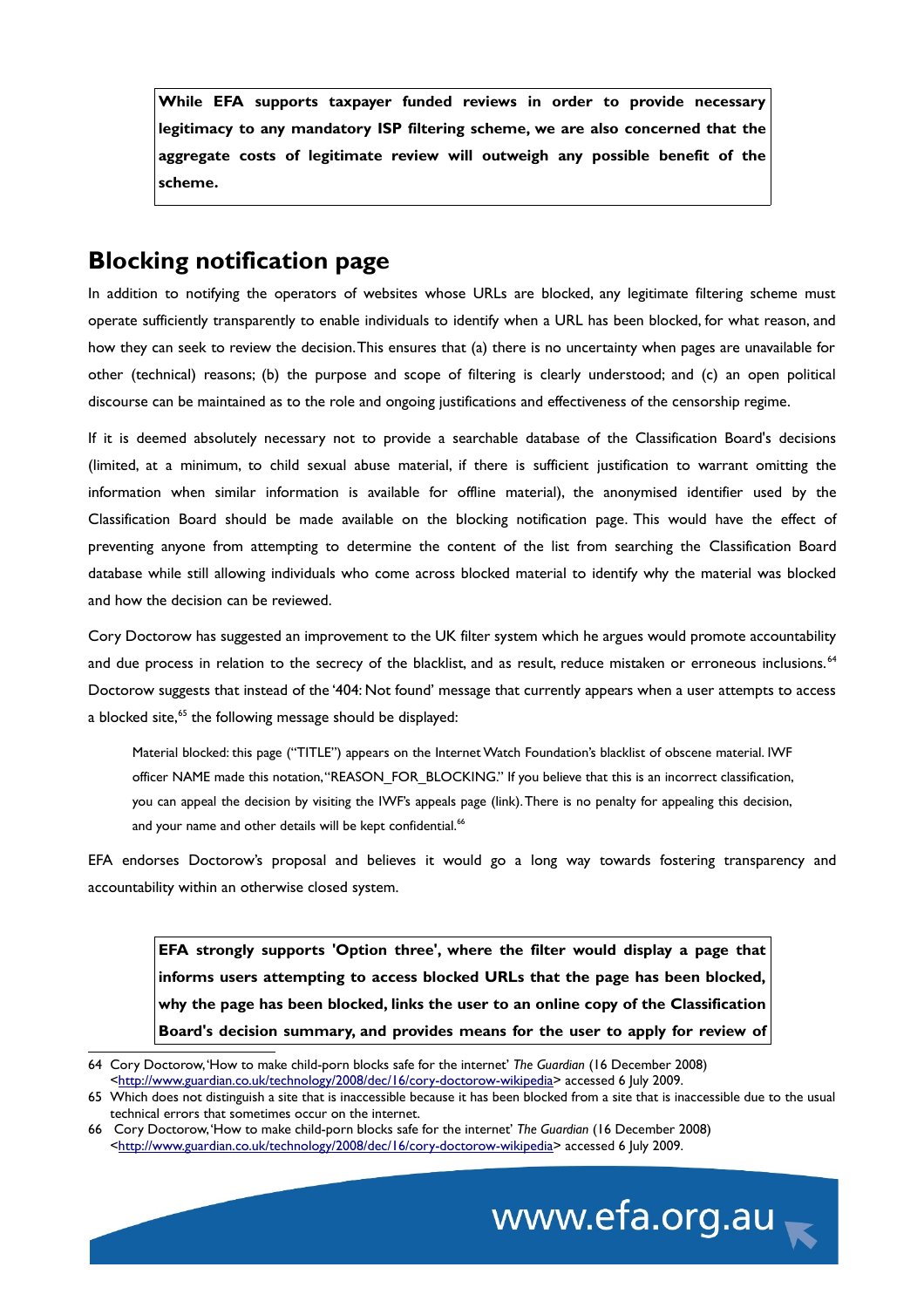**While EFA supports taxpayer funded reviews in order to provide necessary legitimacy to any mandatory ISP filtering scheme, we are also concerned that the aggregate costs of legitimate review will outweigh any possible benefit of the scheme.**

### **Blocking notification page**

In addition to notifying the operators of websites whose URLs are blocked, any legitimate filtering scheme must operate sufficiently transparently to enable individuals to identify when a URL has been blocked, for what reason, and how they can seek to review the decision. This ensures that (a) there is no uncertainty when pages are unavailable for other (technical) reasons; (b) the purpose and scope of filtering is clearly understood; and (c) an open political discourse can be maintained as to the role and ongoing justifications and effectiveness of the censorship regime.

If it is deemed absolutely necessary not to provide a searchable database of the Classification Board's decisions (limited, at a minimum, to child sexual abuse material, if there is sufficient justification to warrant omitting the information when similar information is available for offline material), the anonymised identifier used by the Classification Board should be made available on the blocking notification page. This would have the effect of preventing anyone from attempting to determine the content of the list from searching the Classification Board database while still allowing individuals who come across blocked material to identify why the material was blocked and how the decision can be reviewed.

Cory Doctorow has suggested an improvement to the UK filter system which he argues would promote accountability and due process in relation to the secrecy of the blacklist, and as result, reduce mistaken or erroneous inclusions.<sup>[64](#page-17-0)</sup> Doctorow suggests that instead of the '404: Not found' message that currently appears when a user attempts to access a blocked site,<sup>[65](#page-17-1)</sup> the following message should be displayed:

Material blocked: this page ("TITLE") appears on the Internet Watch Foundation's blacklist of obscene material. IWF officer NAME made this notation, "REASON\_FOR\_BLOCKING." If you believe that this is an incorrect classification, you can appeal the decision by visiting the IWF's appeals page (link). There is no penalty for appealing this decision, and your name and other details will be kept confidential.<sup>[66](#page-17-2)</sup>

EFA endorses Doctorow's proposal and believes it would go a long way towards fostering transparency and accountability within an otherwise closed system.

**EFA strongly supports 'Option three', where the filter would display a page that informs users attempting to access blocked URLs that the page has been blocked, why the page has been blocked, links the user to an online copy of the Classification Board's decision summary, and provides means for the user to apply for review of**

<span id="page-17-2"></span><sup>66</sup> Cory Doctorow, 'How to make child-porn blocks safe for the internet' *The Guardian* (16 December 2008) [<http://www.guardian.co.uk/technology/2008/dec/16/cory-doctorow-wikipedia>](http://www.guardian.co.uk/technology/2008/dec/16/cory-doctorow-wikipedia) accessed 6 July 2009.



<span id="page-17-0"></span><sup>64</sup> Cory Doctorow, 'How to make child-porn blocks safe for the internet' *The Guardian* (16 December 2008) [<http://www.guardian.co.uk/technology/2008/dec/16/cory-doctorow-wikipedia>](http://www.guardian.co.uk/technology/2008/dec/16/cory-doctorow-wikipedia) accessed 6 July 2009.

<span id="page-17-1"></span><sup>65</sup> Which does not distinguish a site that is inaccessible because it has been blocked from a site that is inaccessible due to the usual technical errors that sometimes occur on the internet.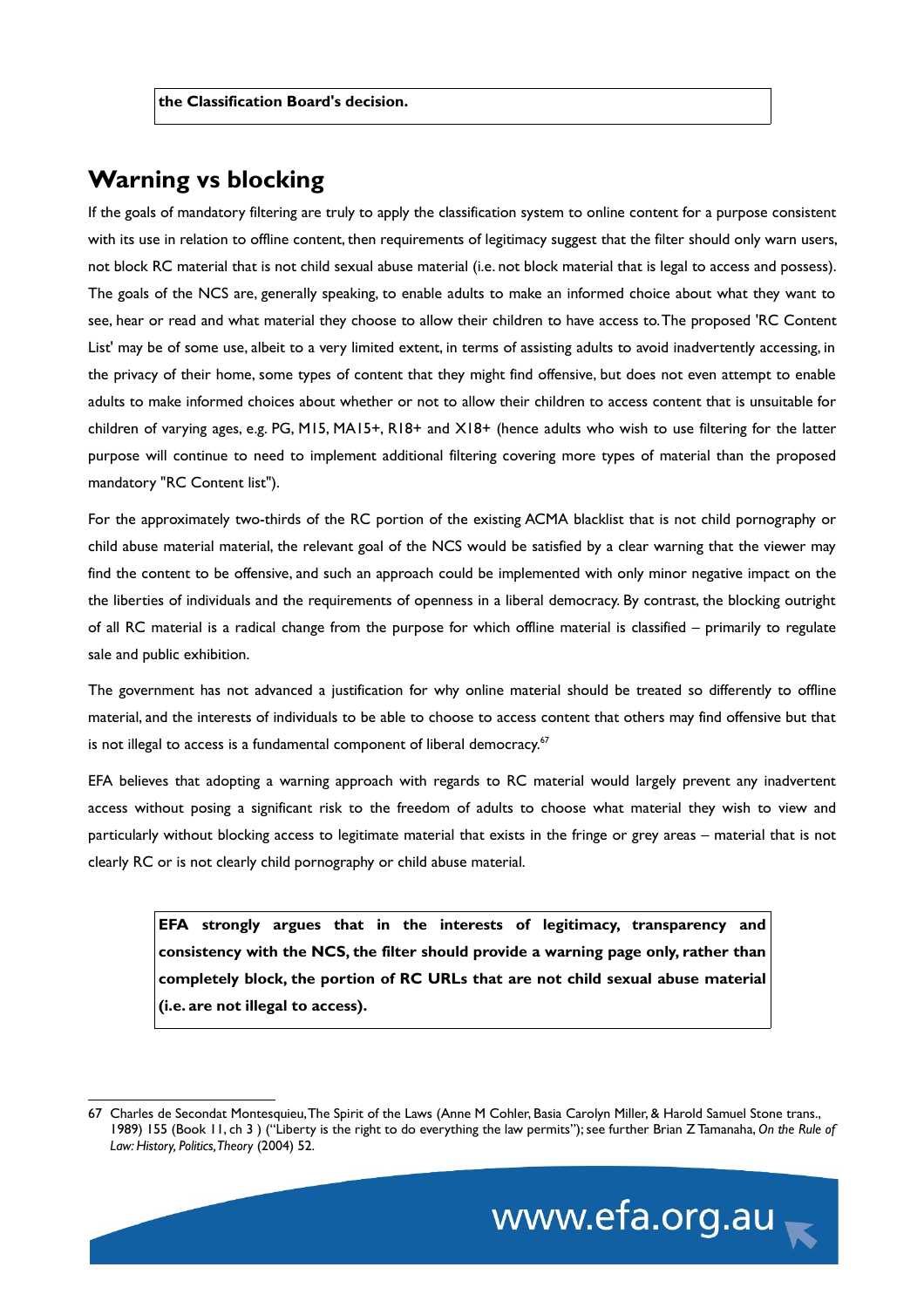#### **Warning vs blocking**

If the goals of mandatory filtering are truly to apply the classification system to online content for a purpose consistent with its use in relation to offline content, then requirements of legitimacy suggest that the filter should only warn users, not block RC material that is not child sexual abuse material (i.e. not block material that is legal to access and possess). The goals of the NCS are, generally speaking, to enable adults to make an informed choice about what they want to see, hear or read and what material they choose to allow their children to have access to. The proposed 'RC Content List' may be of some use, albeit to a very limited extent, in terms of assisting adults to avoid inadvertently accessing, in the privacy of their home, some types of content that they might find offensive, but does not even attempt to enable adults to make informed choices about whether or not to allow their children to access content that is unsuitable for children of varying ages, e.g. PG, M15, MA15+, R18+ and X18+ (hence adults who wish to use filtering for the latter purpose will continue to need to implement additional filtering covering more types of material than the proposed mandatory "RC Content list").

For the approximately two-thirds of the RC portion of the existing ACMA blacklist that is not child pornography or child abuse material material, the relevant goal of the NCS would be satisfied by a clear warning that the viewer may find the content to be offensive, and such an approach could be implemented with only minor negative impact on the the liberties of individuals and the requirements of openness in a liberal democracy. By contrast, the blocking outright of all RC material is a radical change from the purpose for which offline material is classified – primarily to regulate sale and public exhibition.

The government has not advanced a justification for why online material should be treated so differently to offline material, and the interests of individuals to be able to choose to access content that others may find offensive but that is not illegal to access is a fundamental component of liberal democracy.<sup>[67](#page-18-0)</sup>

EFA believes that adopting a warning approach with regards to RC material would largely prevent any inadvertent access without posing a significant risk to the freedom of adults to choose what material they wish to view and particularly without blocking access to legitimate material that exists in the fringe or grey areas – material that is not clearly RC or is not clearly child pornography or child abuse material.

**EFA strongly argues that in the interests of legitimacy, transparency and consistency with the NCS, the filter should provide a warning page only, rather than completely block, the portion of RC URLs that are not child sexual abuse material (i.e. are not illegal to access).**

<span id="page-18-0"></span><sup>67</sup> Charles de Secondat Montesquieu, The Spirit of the Laws (Anne M Cohler, Basia Carolyn Miller, & Harold Samuel Stone trans., 1989) 155 (Book 11, ch 3 ) ("Liberty is the right to do everything the law permits"); see further Brian Z Tamanaha, *On the Rule of Law: History, Politics, Theory* (2004) 52.

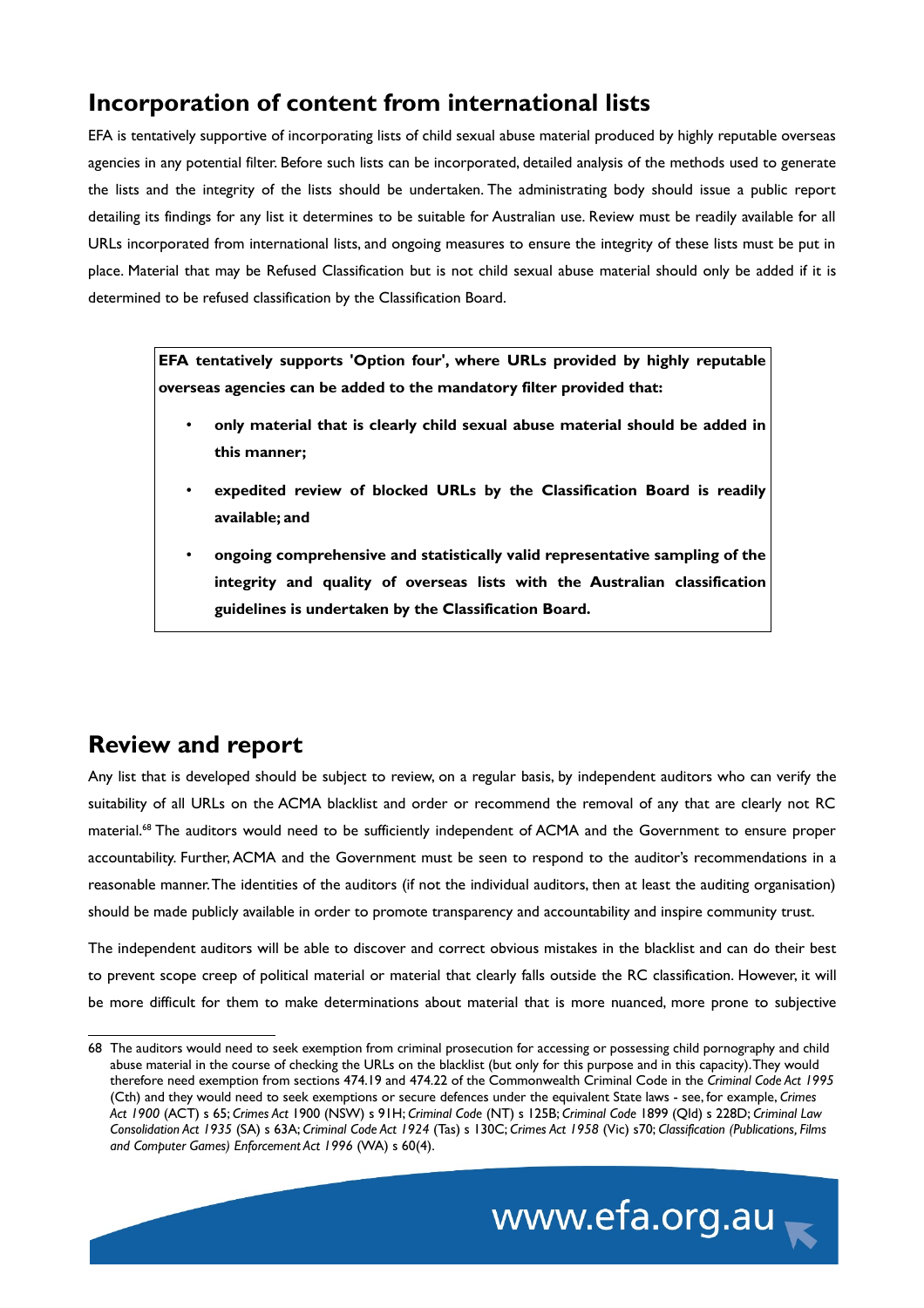# **Incorporation of content from international lists**

EFA is tentatively supportive of incorporating lists of child sexual abuse material produced by highly reputable overseas agencies in any potential filter. Before such lists can be incorporated, detailed analysis of the methods used to generate the lists and the integrity of the lists should be undertaken. The administrating body should issue a public report detailing its findings for any list it determines to be suitable for Australian use. Review must be readily available for all URLs incorporated from international lists, and ongoing measures to ensure the integrity of these lists must be put in place. Material that may be Refused Classification but is not child sexual abuse material should only be added if it is determined to be refused classification by the Classification Board.

**EFA tentatively supports 'Option four', where URLs provided by highly reputable overseas agencies can be added to the mandatory filter provided that:**

- **only material that is clearly child sexual abuse material should be added in this manner;**
- **expedited review of blocked URLs by the Classification Board is readily available; and**
- **ongoing comprehensive and statistically valid representative sampling of the integrity and quality of overseas lists with the Australian classification guidelines is undertaken by the Classification Board.**

# **Review and report**

Any list that is developed should be subject to review, on a regular basis, by independent auditors who can verify the suitability of all URLs on the ACMA blacklist and order or recommend the removal of any that are clearly not RC material.[68](#page-19-0) The auditors would need to be sufficiently independent of ACMA and the Government to ensure proper accountability. Further, ACMA and the Government must be seen to respond to the auditor's recommendations in a reasonable manner. The identities of the auditors (if not the individual auditors, then at least the auditing organisation) should be made publicly available in order to promote transparency and accountability and inspire community trust.

The independent auditors will be able to discover and correct obvious mistakes in the blacklist and can do their best to prevent scope creep of political material or material that clearly falls outside the RC classification. However, it will be more difficult for them to make determinations about material that is more nuanced, more prone to subjective

<span id="page-19-0"></span><sup>68</sup> The auditors would need to seek exemption from criminal prosecution for accessing or possessing child pornography and child abuse material in the course of checking the URLs on the blacklist (but only for this purpose and in this capacity). They would therefore need exemption from sections 474.19 and 474.22 of the Commonwealth Criminal Code in the *Criminal Code Act 1995* (Cth) and they would need to seek exemptions or secure defences under the equivalent State laws - see, for example, *Crimes Act 1900* (ACT) s 65; *Crimes Act* 1900 (NSW) s 91H; *Criminal Code* (NT) s 125B; *Criminal Code* 1899 (Qld) s 228D; *Criminal Law Consolidation Act 1935* (SA) s 63A; *Criminal Code Act 1924* (Tas) s 130C; *Crimes Act 1958* (Vic) s70; *Classification (Publications, Films and Computer Games) Enforcement Act 1996* (WA) s 60(4).

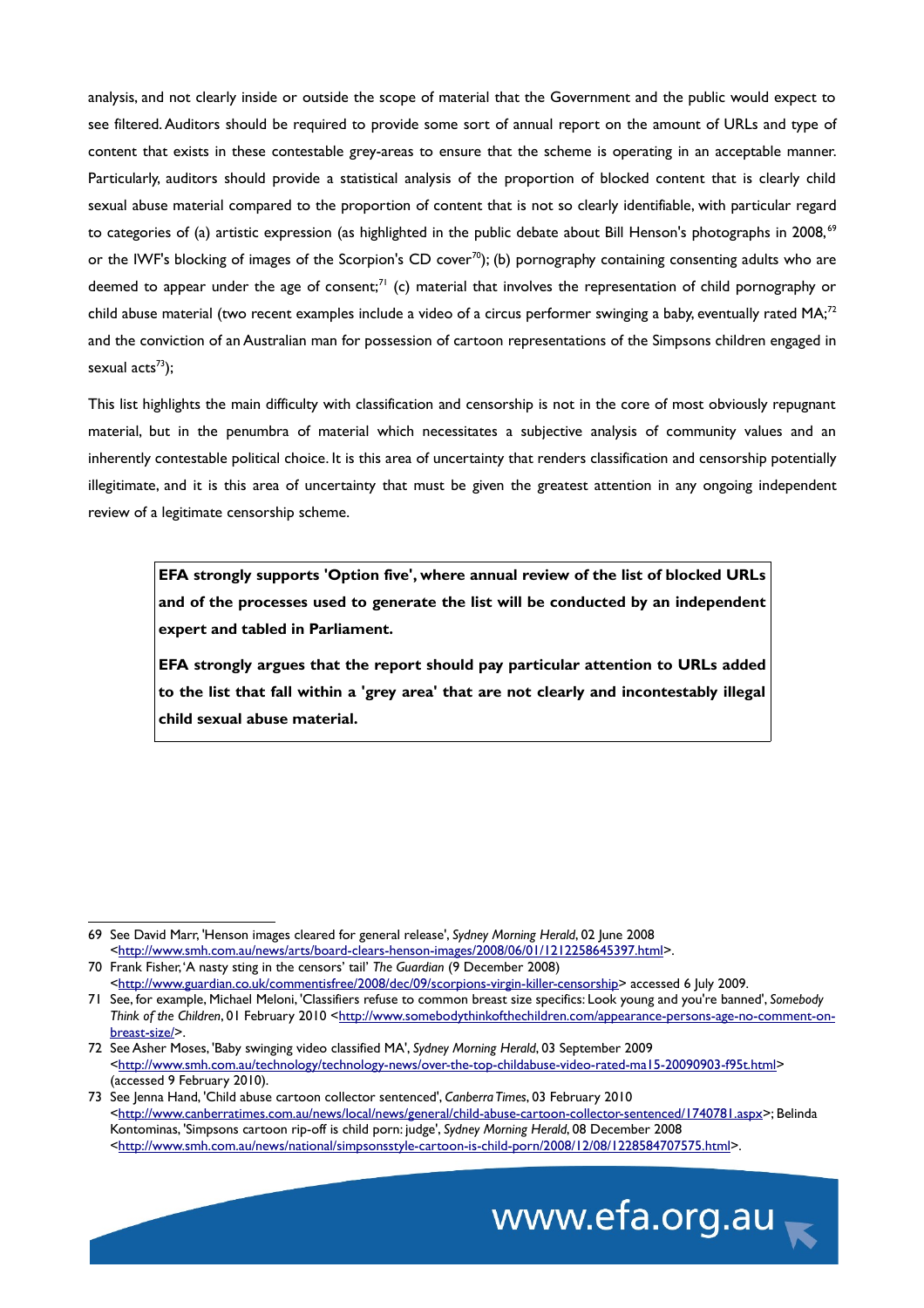analysis, and not clearly inside or outside the scope of material that the Government and the public would expect to see filtered. Auditors should be required to provide some sort of annual report on the amount of URLs and type of content that exists in these contestable grey-areas to ensure that the scheme is operating in an acceptable manner. Particularly, auditors should provide a statistical analysis of the proportion of blocked content that is clearly child sexual abuse material compared to the proportion of content that is not so clearly identifiable, with particular regard to categories of (a) artistic expression (as highlighted in the public debate about Bill Henson's photographs in 2008, $69$ or the IWF's blocking of images of the Scorpion's CD cover<sup>[70](#page-20-1)</sup>); (b) pornography containing consenting adults who are deemed to appear under the age of consent;<sup>[71](#page-20-2)</sup> (c) material that involves the representation of child pornography or child abuse material (two recent examples include a video of a circus performer swinging a baby, eventually rated MA;<sup>[72](#page-20-3)</sup> and the conviction of an Australian man for possession of cartoon representations of the Simpsons children engaged in sexual  $\arctan(573)$  $\arctan(573)$  $\arctan(573)$ :

This list highlights the main difficulty with classification and censorship is not in the core of most obviously repugnant material, but in the penumbra of material which necessitates a subjective analysis of community values and an inherently contestable political choice. It is this area of uncertainty that renders classification and censorship potentially illegitimate, and it is this area of uncertainty that must be given the greatest attention in any ongoing independent review of a legitimate censorship scheme.

**EFA strongly supports 'Option five', where annual review of the list of blocked URLs and of the processes used to generate the list will be conducted by an independent expert and tabled in Parliament.** 

**EFA strongly argues that the report should pay particular attention to URLs added to the list that fall within a 'grey area' that are not clearly and incontestably illegal child sexual abuse material.**

<span id="page-20-4"></span><sup>73</sup> See Jenna Hand, 'Child abuse cartoon collector sentenced', *Canberra Times*, 03 February 2010 [<http://www.canberratimes.com.au/news/local/news/general/child-abuse-cartoon-collector-sentenced/1740781.aspx>](http://www.canberratimes.com.au/news/local/news/general/child-abuse-cartoon-collector-sentenced/1740781.aspx); Belinda Kontominas, 'Simpsons cartoon rip-off is child porn: judge', *Sydney Morning Herald*, 08 December 2008 [<http://www.smh.com.au/news/national/simpsonsstyle-cartoon-is-child-porn/2008/12/08/1228584707575.html>](http://www.smh.com.au/news/national/simpsonsstyle-cartoon-is-child-porn/2008/12/08/1228584707575.html).



<span id="page-20-0"></span><sup>69</sup> See David Marr, 'Henson images cleared for general release', *Sydney Morning Herald*, 02 June 2008 [<http://www.smh.com.au/news/arts/board-clears-henson-images/2008/06/01/1212258645397.html>](http://www.smh.com.au/news/arts/board-clears-henson-images/2008/06/01/1212258645397.html). 70 Frank Fisher, 'A nasty sting in the censors' tail' *The Guardian* (9 December 2008)

<span id="page-20-1"></span>[<sup>&</sup>lt;http://www.guardian.co.uk/commentisfree/2008/dec/09/scorpions-virgin-killer-censorship>](http://www.guardian.co.uk/commentisfree/2008/dec/09/scorpions-virgin-killer-censorship) accessed 6 July 2009.

<span id="page-20-2"></span><sup>71</sup> See, for example, Michael Meloni, 'Classifiers refuse to common breast size specifics: Look young and you're banned', *Somebody Think of the Children*, 01 February 2010 [<http://www.somebodythinkofthechildren.com/appearance-persons-age-no-comment-on](http://www.somebodythinkofthechildren.com/appearance-persons-age-no-comment-on-breast-size/)[breast-size/>](http://www.somebodythinkofthechildren.com/appearance-persons-age-no-comment-on-breast-size/).

<span id="page-20-3"></span><sup>72</sup> See Asher Moses, 'Baby swinging video classified MA', *Sydney Morning Herald*, 03 September 2009 [<http://www.smh.com.au/technology/technology-news/over-the-top-childabuse-video-rated-ma15-20090903-f95t.html>](http://www.smh.com.au/technology/technology-news/over-the-top-childabuse-video-rated-ma15-20090903-f95t.html) (accessed 9 February 2010).